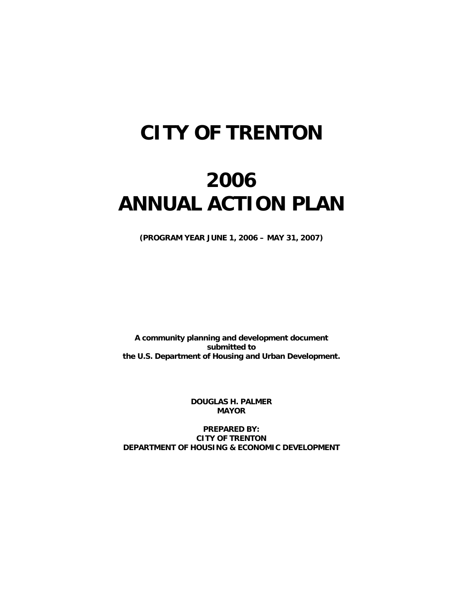## **CITY OF TRENTON**

# **2006 ANNUAL ACTION PLAN**

**(PROGRAM YEAR JUNE 1, 2006 – MAY 31, 2007)** 

**A community planning and development document submitted to the U.S. Department of Housing and Urban Development.** 

> **DOUGLAS H. PALMER MAYOR**

**PREPARED BY: CITY OF TRENTON DEPARTMENT OF HOUSING & ECONOMIC DEVELOPMENT**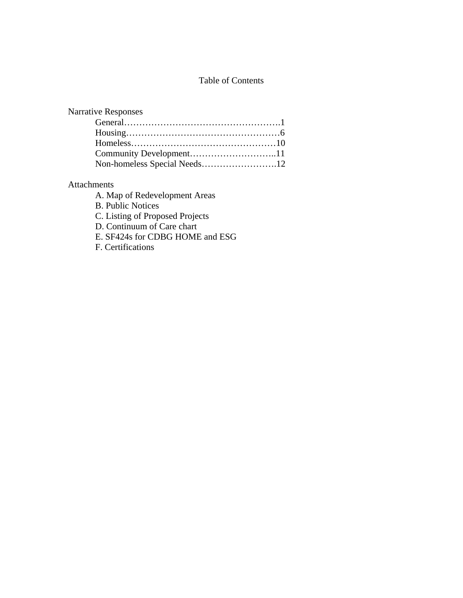## Table of Contents

| <b>Narrative Responses</b>   |  |
|------------------------------|--|
|                              |  |
|                              |  |
|                              |  |
|                              |  |
| Non-homeless Special Needs12 |  |
|                              |  |

## Attachments

A. Map of Redevelopment Areas

B. Public Notices

C. Listing of Proposed Projects

D. Continuum of Care chart

E. SF424s for CDBG HOME and ESG

F. Certifications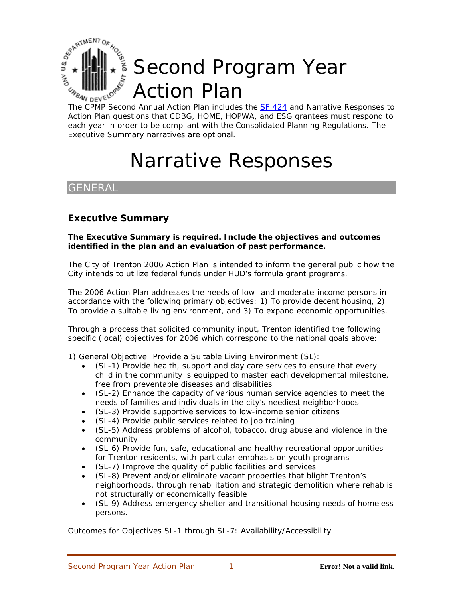

The CPMP Second Annual Action Plan includes the **SF 424** and Narrative Responses to Action Plan questions that CDBG, HOME, HOPWA, and ESG grantees must respond t o each year in order to be compliant with the Consolidated Planning Regulations. The Executive Summary narratives are optional.

# Narrative Responses

## **GENERAL**

## **Executive Summary**

**The Executive Summary is required. Include the objectives and outcomes identified in the plan and an evaluation of past performance.** 

The City of Trenton 2006 Action Plan is intended to inform the general public how the City intends to utilize federal funds under HUD's formula grant programs.

The 2006 Action Plan addresses the needs of low- and moderate-income persons in accordance with the following primary objectives: 1) To provide decent housing, 2) To provide a suitable living environment, and 3) To expand economic opportunities.

Through a process that solicited community input, Trenton identified the following specific (local) objectives for 2006 which correspond to the national goals above:

1) General Objective: Provide a Suitable Living Environment (SL):

- (SL-1) Provide health, support and day care services to ensure that every child in the community is equipped to master each developmental milestone, free from preventable diseases and disabilities
- (SL-2) Enhance the capacity of various human service agencies to meet the needs of families and individuals in the city's neediest neighborhoods
- (SL-3) Provide supportive services to low-income senior citizens
- (SL-4) Provide public services related to job training
- (SL-5) Address problems of alcohol, tobacco, drug abuse and violence in the community
- (SL-6) Provide fun, safe, educational and healthy recreational opportunities for Trenton residents, with particular emphasis on youth programs
- (SL-7) Improve the quality of public facilities and services
- (SL-8) Prevent and/or eliminate vacant properties that blight Trenton's neighborhoods, through rehabilitation and strategic demolition where rehab is not structurally or economically feasible
- (SL-9) Address emergency shelter and transitional housing needs of homeless persons.

Outcomes for Objectives SL-1 through SL-7: Availability/Accessibility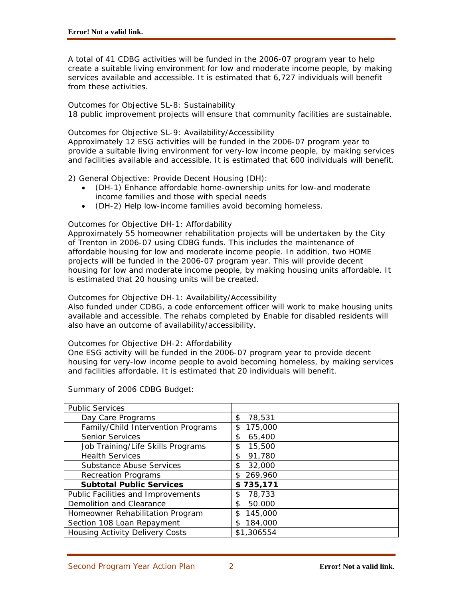A total of 41 CDBG activities will be funded in the 2006-07 program year to help create a suitable living environment for low and moderate income people, by making services available and accessible. It is estimated that 6,727 individuals will benefit from these activities.

#### Outcomes for Objective SL-8: Sustainability

18 public improvement projects will ensure that community facilities are sustainable.

Outcomes for Objective SL-9: Availability/Accessibility

Approximately 12 ESG activities will be funded in the 2006-07 program year to provide a suitable living environment for very-low income people, by making services and facilities available and accessible. It is estimated that 600 individuals will benefit.

2) General Objective: Provide Decent Housing (DH):

- (DH-1) Enhance affordable home-ownership units for low-and moderate income families and those with special needs
- (DH-2) Help low-income families avoid becoming homeless.

### Outcomes for Objective DH-1: Affordability

Approximately 55 homeowner rehabilitation projects will be undertaken by the City of Trenton in 2006-07 using CDBG funds. This includes the maintenance of affordable housing for low and moderate income people. In addition, two HOME projects will be funded in the 2006-07 program year. This will provide decent housing for low and moderate income people, by making housing units affordable. It is estimated that 20 housing units will be created.

Outcomes for Objective DH-1: Availability/Accessibility

Also funded under CDBG, a code enforcement officer will work to make housing units available and accessible. The rehabs completed by Enable for disabled residents will also have an outcome of availability/accessibility.

#### Outcomes for Objective DH-2: Affordability

One ESG activity will be funded in the 2006-07 program year to provide decent housing for very-low income people to avoid becoming homeless, by making services and facilities affordable. It is estimated that 20 individuals will benefit.

| <b>Public Services</b>                 |               |
|----------------------------------------|---------------|
| Day Care Programs                      | 78,531<br>\$  |
| Family/Child Intervention Programs     | 175,000<br>\$ |
| <b>Senior Services</b>                 | 65,400<br>\$  |
| Job Training/Life Skills Programs      | 15,500<br>\$  |
| <b>Health Services</b>                 | 91,780<br>\$  |
| <b>Substance Abuse Services</b>        | 32,000<br>\$  |
| <b>Recreation Programs</b>             | 269,960<br>\$ |
| <b>Subtotal Public Services</b>        | \$735,171     |
| Public Facilities and Improvements     | 78,733<br>\$  |
| Demolition and Clearance               | 50.000<br>\$  |
| Homeowner Rehabilitation Program       | 145,000<br>\$ |
| Section 108 Loan Repayment             | 184,000<br>\$ |
| <b>Housing Activity Delivery Costs</b> | \$1,306554    |

Summary of 2006 CDBG Budget: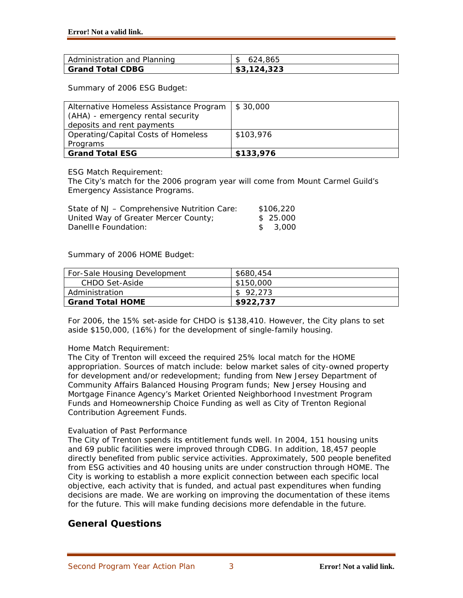| l Administration and Planning | 624.865     |
|-------------------------------|-------------|
| Grand Total CDBG              | \$3,124,323 |

Summary of 2006 ESG Budget:

| Alternative Homeless Assistance Program | \$30,000  |
|-----------------------------------------|-----------|
| (AHA) - emergency rental security       |           |
| deposits and rent payments              |           |
| Operating/Capital Costs of Homeless     | \$103,976 |
| Programs                                |           |
| <b>Grand Total ESG</b>                  | \$133,976 |

ESG Match Requirement:

The City's match for the 2006 program year will come from Mount Carmel Guild's Emergency Assistance Programs.

| State of NJ - Comprehensive Nutrition Care: | \$106,220 |
|---------------------------------------------|-----------|
| United Way of Greater Mercer County;        | \$25.000  |
| Danellle Foundation:                        | \$ 3.000  |

Summary of 2006 HOME Budget:

| For-Sale Housing Development | \$680,454 |
|------------------------------|-----------|
| CHDO Set-Aside               | \$150,000 |
| Administration               | \$92.273  |
| <b>Grand Total HOME</b>      | \$922,737 |

For 2006, the 15% set-aside for CHDO is \$138,410. However, the City plans to set aside \$150,000, (16%) for the development of single-family housing.

## Home Match Requirement:

The City of Trenton will exceed the required 25% local match for the HOME appropriation. Sources of match include: below market sales of city-owned property for development and/or redevelopment; funding from New Jersey Department of Community Affairs Balanced Housing Program funds; New Jersey Housing and Mortgage Finance Agency's Market Oriented Neighborhood Investment Program Funds and Homeownership Choice Funding as well as City of Trenton Regional Contribution Agreement Funds.

### Evaluation of Past Performance

The City of Trenton spends its entitlement funds well. In 2004, 151 housing units and 69 public facilities were improved through CDBG. In addition, 18,457 people directly benefited from public service activities. Approximately, 500 people benefited from ESG activities and 40 housing units are under construction through HOME. The City is working to establish a more explicit connection between each specific local objective, each activity that is funded, and actual past expenditures when funding decisions are made. We are working on improving the documentation of these items for the future. This will make funding decisions more defendable in the future.

## **General Questions**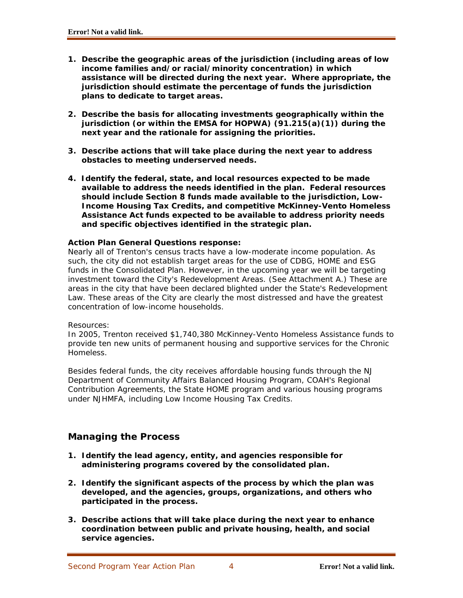- **1. Describe the geographic areas of the jurisdiction (including areas of low income families and/or racial/minority concentration) in which assistance will be directed during the next year. Where appropriate, the jurisdiction should estimate the percentage of funds the jurisdiction plans to dedicate to target areas.**
- **2. Describe the basis for allocating investments geographically within the jurisdiction (or within the EMSA for HOPWA) (91.215(a)(1)) during the next year and the rationale for assigning the priorities.**
- **3. Describe actions that will take place during the next year to address obstacles to meeting underserved needs.**
- **4. Identify the federal, state, and local resources expected to be made available to address the needs identified in the plan. Federal resources should include Section 8 funds made available to the jurisdiction, Low-Income Housing Tax Credits, and competitive McKinney-Vento Homeless Assistance Act funds expected to be available to address priority needs and specific objectives identified in the strategic plan.**

## **Action Plan General Questions response:**

Nearly all of Trenton's census tracts have a low-moderate income population. As such, the city did not establish target areas for the use of CDBG, HOME and ESG funds in the Consolidated Plan. However, in the upcoming year we will be targeting investment toward the City's Redevelopment Areas. (See Attachment A.) These are areas in the city that have been declared blighted under the State's Redevelopment Law. These areas of the City are clearly the most distressed and have the greatest concentration of low-income households.

### Resources:

In 2005, Trenton received \$1,740,380 McKinney-Vento Homeless Assistance funds to provide ten new units of permanent housing and supportive services for the Chronic Homeless.

Besides federal funds, the city receives affordable housing funds through the NJ Department of Community Affairs Balanced Housing Program, COAH's Regional Contribution Agreements, the State HOME program and various housing programs under NJHMFA, including Low Income Housing Tax Credits.

## **Managing the Process**

- **1. Identify the lead agency, entity, and agencies responsible for administering programs covered by the consolidated plan.**
- **2. Identify the significant aspects of the process by which the plan was developed, and the agencies, groups, organizations, and others who participated in the process.**
- **3. Describe actions that will take place during the next year to enhance coordination between public and private housing, health, and social service agencies.**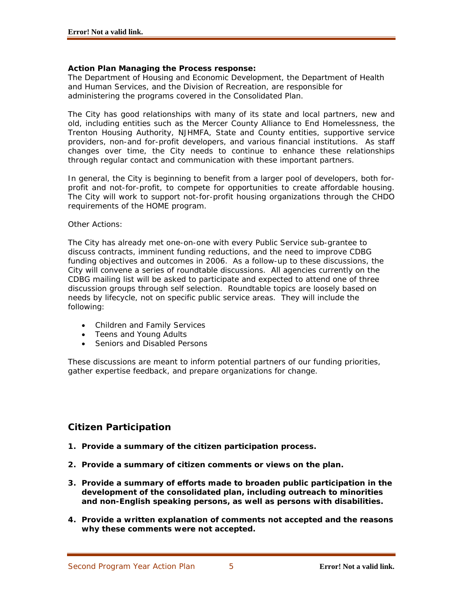### **Action Plan Managing the Process response:**

The Department of Housing and Economic Development, the Department of Health and Human Services, and the Division of Recreation, are responsible for administering the programs covered in the Consolidated Plan.

The City has good relationships with many of its state and local partners, new and old, including entities such as the Mercer County Alliance to End Homelessness, the Trenton Housing Authority, NJHMFA, State and County entities, supportive service providers, non-and for-profit developers, and various financial institutions. As staff changes over time, the City needs to continue to enhance these relationships through regular contact and communication with these important partners.

In general, the City is beginning to benefit from a larger pool of developers, both forprofit and not-for-profit, to compete for opportunities to create affordable housing. The City will work to support not-for-profit housing organizations through the CHDO requirements of the HOME program.

#### Other Actions:

The City has already met one-on-one with every Public Service sub-grantee to discuss contracts, imminent funding reductions, and the need to improve CDBG funding objectives and outcomes in 2006. As a follow-up to these discussions, the City will convene a series of roundtable discussions. All agencies currently on the CDBG mailing list will be asked to participate and expected to attend one of three discussion groups through self selection. Roundtable topics are loosely based on needs by lifecycle, not on specific public service areas. They will include the following:

- Children and Family Services
- Teens and Young Adults
- Seniors and Disabled Persons

These discussions are meant to inform potential partners of our funding priorities, gather expertise feedback, and prepare organizations for change.

## **Citizen Participation**

- **1. Provide a summary of the citizen participation process.**
- **2. Provide a summary of citizen comments or views on the plan.**
- **3. Provide a summary of efforts made to broaden public participation in the development of the consolidated plan, including outreach to minorities and non-English speaking persons, as well as persons with disabilities.**
- **4. Provide a written explanation of comments not accepted and the reasons why these comments were not accepted.**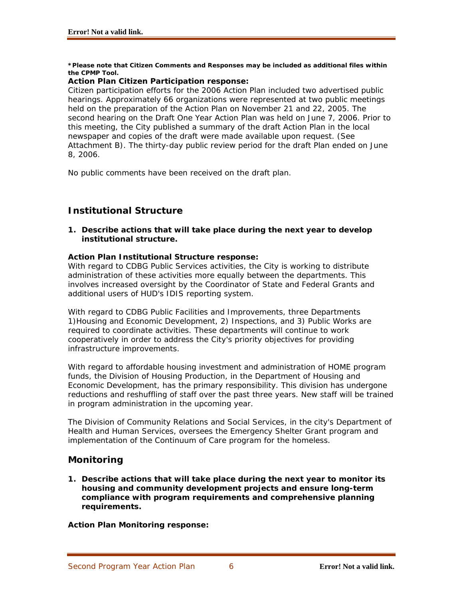#### **\*Please note that Citizen Comments and Responses may be included as additional files within the CPMP Tool.**

## **Action Plan Citizen Participation response:**

Citizen participation efforts for the 2006 Action Plan included two advertised public hearings. Approximately 66 organizations were represented at two public meetings held on the preparation of the Action Plan on November 21 and 22, 2005. The second hearing on the Draft One Year Action Plan was held on June 7, 2006. Prior to this meeting, the City published a summary of the draft Action Plan in the local newspaper and copies of the draft were made available upon request. (See Attachment B). The thirty-day public review period for the draft Plan ended on June 8, 2006.

No public comments have been received on the draft plan.

## **Institutional Structure**

**1. Describe actions that will take place during the next year to develop institutional structure.** 

## **Action Plan Institutional Structure response:**

With regard to CDBG Public Services activities, the City is working to distribute administration of these activities more equally between the departments. This involves increased oversight by the Coordinator of State and Federal Grants and additional users of HUD's IDIS reporting system.

With regard to CDBG Public Facilities and Improvements, three Departments 1)Housing and Economic Development, 2) Inspections, and 3) Public Works are required to coordinate activities. These departments will continue to work cooperatively in order to address the City's priority objectives for providing infrastructure improvements.

With regard to affordable housing investment and administration of HOME program funds, the Division of Housing Production, in the Department of Housing and Economic Development, has the primary responsibility. This division has undergone reductions and reshuffling of staff over the past three years. New staff will be trained in program administration in the upcoming year.

The Division of Community Relations and Social Services, in the city's Department of Health and Human Services, oversees the Emergency Shelter Grant program and implementation of the Continuum of Care program for the homeless.

## **Monitoring**

**1. Describe actions that will take place during the next year to monitor its housing and community development projects and ensure long-term compliance with program requirements and comprehensive planning requirements.** 

**Action Plan Monitoring response:**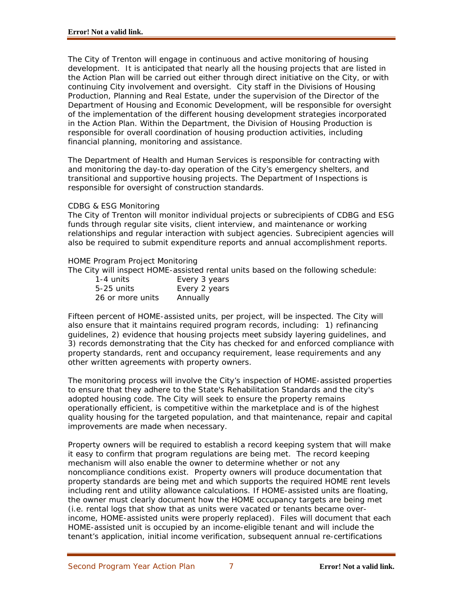The City of Trenton will engage in continuous and active monitoring of housing development. It is anticipated that nearly all the housing projects that are listed in the Action Plan will be carried out either through direct initiative on the City, or with continuing City involvement and oversight. City staff in the Divisions of Housing Production, Planning and Real Estate, under the supervision of the Director of the Department of Housing and Economic Development, will be responsible for oversight of the implementation of the different housing development strategies incorporated in the Action Plan. Within the Department, the Division of Housing Production is responsible for overall coordination of housing production activities, including financial planning, monitoring and assistance.

The Department of Health and Human Services is responsible for contracting with and monitoring the day-to-day operation of the City's emergency shelters, and transitional and supportive housing projects. The Department of Inspections is responsible for oversight of construction standards.

#### CDBG & ESG Monitoring

The City of Trenton will monitor individual projects or subrecipients of CDBG and ESG funds through regular site visits, client interview, and maintenance or working relationships and regular interaction with subject agencies. Subrecipient agencies will also be required to submit expenditure reports and annual accomplishment reports.

#### HOME Program Project Monitoring

The City will inspect HOME-assisted rental units based on the following schedule:

| 1-4 units        | Every 3 years |
|------------------|---------------|
| $5-25$ units     | Every 2 years |
| 26 or more units | Annually      |

Fifteen percent of HOME-assisted units, per project, will be inspected. The City will also ensure that it maintains required program records, including: 1) refinancing guidelines, 2) evidence that housing projects meet subsidy layering guidelines, and 3) records demonstrating that the City has checked for and enforced compliance with property standards, rent and occupancy requirement, lease requirements and any other written agreements with property owners.

The monitoring process will involve the City's inspection of HOME-assisted properties to ensure that they adhere to the State's Rehabilitation Standards and the city's adopted housing code. The City will seek to ensure the property remains operationally efficient, is competitive within the marketplace and is of the highest quality housing for the targeted population, and that maintenance, repair and capital improvements are made when necessary.

Property owners will be required to establish a record keeping system that will make it easy to confirm that program regulations are being met. The record keeping mechanism will also enable the owner to determine whether or not any noncompliance conditions exist. Property owners will produce documentation that property standards are being met and which supports the required HOME rent levels including rent and utility allowance calculations. If HOME-assisted units are floating, the owner must clearly document how the HOME occupancy targets are being met (i.e. rental logs that show that as units were vacated or tenants became overincome, HOME-assisted units were properly replaced). Files will document that each HOME-assisted unit is occupied by an income-eligible tenant and will include the tenant's application, initial income verification, subsequent annual re-certifications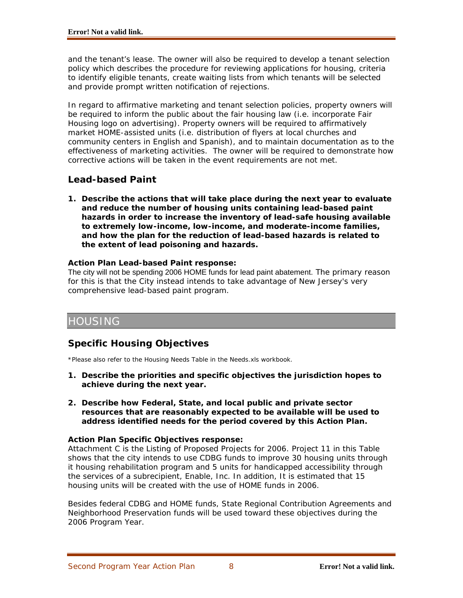and the tenant's lease. The owner will also be required to develop a tenant selection policy which describes the procedure for reviewing applications for housing, criteria to identify eligible tenants, create waiting lists from which tenants will be selected and provide prompt written notification of rejections.

In regard to affirmative marketing and tenant selection policies, property owners will be required to inform the public about the fair housing law (i.e. incorporate Fair Housing logo on advertising). Property owners will be required to affirmatively market HOME-assisted units (i.e. distribution of flyers at local churches and community centers in English and Spanish), and to maintain documentation as to the effectiveness of marketing activities. The owner will be required to demonstrate how corrective actions will be taken in the event requirements are not met.

## **Lead-based Paint**

**1. Describe the actions that will take place during the next year to evaluate and reduce the number of housing units containing lead-based paint hazards in order to increase the inventory of lead-safe housing available to extremely low-income, low-income, and moderate-income families, and how the plan for the reduction of lead-based hazards is related to the extent of lead poisoning and hazards.**

## **Action Plan Lead-based Paint response:**

The city will not be spending 2006 HOME funds for lead paint abatement. The primary reason for this is that the City instead intends to take advantage of New Jersey's very comprehensive lead-based paint program.

## HOUSING

## **Specific Housing Objectives**

\*Please also refer to the Housing Needs Table in the Needs.xls workbook.

- **1. Describe the priorities and specific objectives the jurisdiction hopes to achieve during the next year.**
- **2. Describe how Federal, State, and local public and private sector resources that are reasonably expected to be available will be used to address identified needs for the period covered by this Action Plan.**

## **Action Plan Specific Objectives response:**

Attachment C is the Listing of Proposed Projects for 2006. Project 11 in this Table shows that the city intends to use CDBG funds to improve 30 housing units through it housing rehabilitation program and 5 units for handicapped accessibility through the services of a subrecipient, Enable, Inc. In addition, It is estimated that 15 housing units will be created with the use of HOME funds in 2006.

Besides federal CDBG and HOME funds, State Regional Contribution Agreements and Neighborhood Preservation funds will be used toward these objectives during the 2006 Program Year.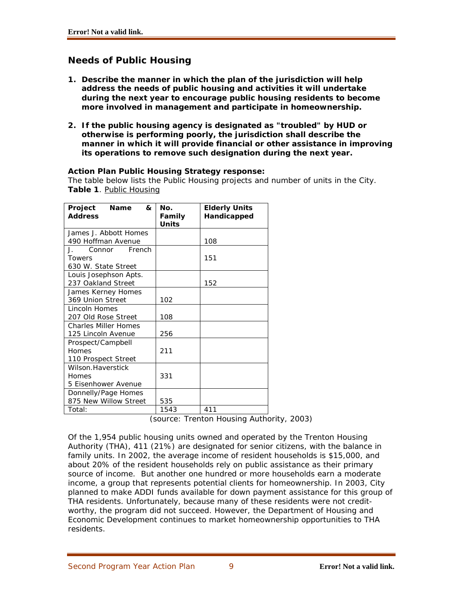## **Needs of Public Housing**

- **1. Describe the manner in which the plan of the jurisdiction will help address the needs of public housing and activities it will undertake during the next year to encourage public housing residents to become more involved in management and participate in homeownership.**
- **2. If the public housing agency is designated as "troubled" by HUD or otherwise is performing poorly, the jurisdiction shall describe the manner in which it will provide financial or other assistance in improving its operations to remove such designation during the next year.**

### **Action Plan Public Housing Strategy response:**

The table below lists the Public Housing projects and number of units in the City. **Table 1**. Public Housing

| Project<br><b>Name</b><br>&                   | No.                    | <b>Elderly Units</b> |
|-----------------------------------------------|------------------------|----------------------|
| <b>Address</b>                                | Family<br><b>Units</b> | Handicapped          |
| James J. Abbott Homes                         |                        |                      |
| 490 Hoffman Avenue                            |                        | 108                  |
| French<br>$\mathbf{J}_{\mathbf{r}}$<br>Connor |                        |                      |
| Towers                                        |                        | 151                  |
| 630 W. State Street                           |                        |                      |
| Louis Josephson Apts.                         |                        |                      |
| 237 Oakland Street                            |                        | 152                  |
| James Kerney Homes                            |                        |                      |
| 369 Union Street                              | 102                    |                      |
| <b>Lincoln Homes</b>                          |                        |                      |
| 207 Old Rose Street                           | 108                    |                      |
| <b>Charles Miller Homes</b>                   |                        |                      |
| 125 Lincoln Avenue                            | 256                    |                      |
| Prospect/Campbell                             |                        |                      |
| Homes                                         | 211                    |                      |
| 110 Prospect Street                           |                        |                      |
| Wilson.Haverstick                             |                        |                      |
| Homes                                         | 331                    |                      |
| 5 Eisenhower Avenue                           |                        |                      |
| Donnelly/Page Homes                           |                        |                      |
| 875 New Willow Street                         | 535                    |                      |
| Total:                                        | 1543                   | 411                  |

(source: Trenton Housing Authority, 2003)

Of the 1,954 public housing units owned and operated by the Trenton Housing Authority (THA), 411 (21%) are designated for senior citizens, with the balance in family units. In 2002, the average income of resident households is \$15,000, and about 20% of the resident households rely on public assistance as their primary source of income. But another one hundred or more households earn a moderate income, a group that represents potential clients for homeownership. In 2003, City planned to make ADDI funds available for down payment assistance for this group of THA residents. Unfortunately, because many of these residents were not creditworthy, the program did not succeed. However, the Department of Housing and Economic Development continues to market homeownership opportunities to THA residents.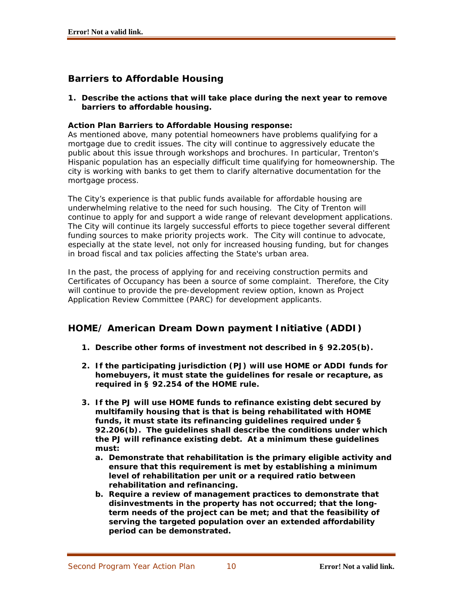## **Barriers to Affordable Housing**

**1. Describe the actions that will take place during the next year to remove barriers to affordable housing.**

## **Action Plan Barriers to Affordable Housing response:**

As mentioned above, many potential homeowners have problems qualifying for a mortgage due to credit issues. The city will continue to aggressively educate the public about this issue through workshops and brochures. In particular, Trenton's Hispanic population has an especially difficult time qualifying for homeownership. The city is working with banks to get them to clarify alternative documentation for the mortgage process.

The City's experience is that public funds available for affordable housing are underwhelming relative to the need for such housing. The City of Trenton will continue to apply for and support a wide range of relevant development applications. The City will continue its largely successful efforts to piece together several different funding sources to make priority projects work. The City will continue to advocate, especially at the state level, not only for increased housing funding, but for changes in broad fiscal and tax policies affecting the State's urban area.

In the past, the process of applying for and receiving construction permits and Certificates of Occupancy has been a source of some complaint. Therefore, the City will continue to provide the pre-development review option, known as Project Application Review Committee (PARC) for development applicants.

## **HOME/ American Dream Down payment Initiative (ADDI)**

- **1. Describe other forms of investment not described in § 92.205(b).**
- **2. If the participating jurisdiction (PJ) will use HOME or ADDI funds for homebuyers, it must state the guidelines for resale or recapture, as required in § 92.254 of the HOME rule.**
- **3. If the PJ will use HOME funds to refinance existing debt secured by multifamily housing that is that is being rehabilitated with HOME funds, it must state its refinancing guidelines required under § 92.206(b). The guidelines shall describe the conditions under which the PJ will refinance existing debt. At a minimum these guidelines must:** 
	- **a. Demonstrate that rehabilitation is the primary eligible activity and ensure that this requirement is met by establishing a minimum level of rehabilitation per unit or a required ratio between rehabilitation and refinancing.**
	- **b. Require a review of management practices to demonstrate that disinvestments in the property has not occurred; that the longterm needs of the project can be met; and that the feasibility of serving the targeted population over an extended affordability period can be demonstrated.**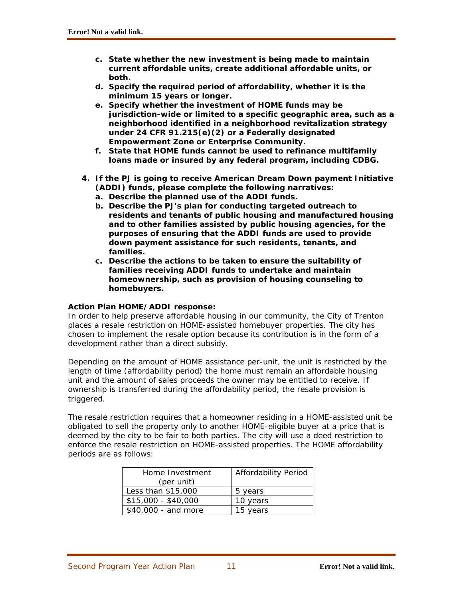- **c. State whether the new investment is being made to maintain current affordable units, create additional affordable units, or both.**
- **d. Specify the required period of affordability, whether it is the minimum 15 years or longer.**
- **e. Specify whether the investment of HOME funds may be jurisdiction-wide or limited to a specific geographic area, such as a neighborhood identified in a neighborhood revitalization strategy under 24 CFR 91.215(e)(2) or a Federally designated Empowerment Zone or Enterprise Community.**
- **f. State that HOME funds cannot be used to refinance multifamily loans made or insured by any federal program, including CDBG.**
- **4. If the PJ is going to receive American Dream Down payment Initiative (ADDI) funds, please complete the following narratives:** 
	- **a. Describe the planned use of the ADDI funds.**
	- **b. Describe the PJ's plan for conducting targeted outreach to residents and tenants of public housing and manufactured housing and to other families assisted by public housing agencies, for the purposes of ensuring that the ADDI funds are used to provide down payment assistance for such residents, tenants, and families.**
	- **c. Describe the actions to be taken to ensure the suitability of families receiving ADDI funds to undertake and maintain homeownership, such as provision of housing counseling to homebuyers.**

### **Action Plan HOME/ADDI response:**

In order to help preserve affordable housing in our community, the City of Trenton places a resale restriction on HOME-assisted homebuyer properties. The city has chosen to implement the resale option because its contribution is in the form of a development rather than a direct subsidy.

Depending on the amount of HOME assistance per-unit, the unit is restricted by the length of time (affordability period) the home must remain an affordable housing unit and the amount of sales proceeds the owner may be entitled to receive. If ownership is transferred during the affordability period, the resale provision is triggered.

The resale restriction requires that a homeowner residing in a HOME-assisted unit be obligated to sell the property only to another HOME-eligible buyer at a price that is deemed by the city to be fair to both parties. The city will use a deed restriction to enforce the resale restriction on HOME-assisted properties. The HOME affordability periods are as follows:

| Home Investment     | Affordability Period |
|---------------------|----------------------|
| (per unit)          |                      |
| Less than \$15,000  | 5 years              |
| $$15,000 - $40,000$ | 10 years             |
| \$40,000 - and more | 15 years             |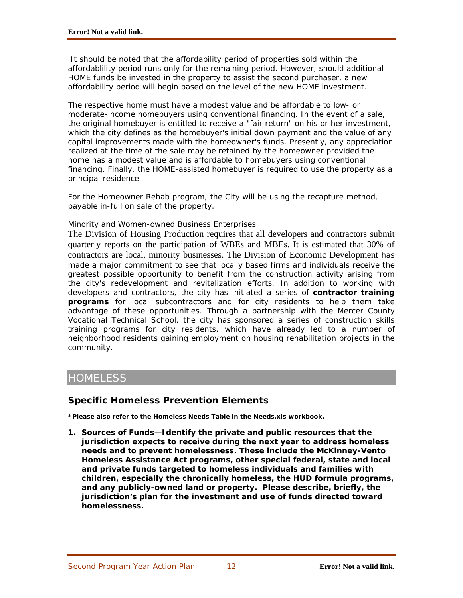It should be noted that the affordability period of properties sold within the affordablility period runs only for the remaining period. However, should additional HOME funds be invested in the property to assist the second purchaser, a new affordability period will begin based on the level of the new HOME investment.

The respective home must have a modest value and be affordable to low- or moderate-income homebuyers using conventional financing. In the event of a sale, the original homebuyer is entitled to receive a "fair return" on his or her investment, which the city defines as the homebuyer's initial down payment and the value of any capital improvements made with the homeowner's funds. Presently, any appreciation realized at the time of the sale may be retained by the homeowner provided the home has a modest value and is affordable to homebuyers using conventional financing. Finally, the HOME-assisted homebuyer is required to use the property as a principal residence.

For the Homeowner Rehab program, the City will be using the recapture method, payable in-full on sale of the property.

### Minority and Women-owned Business Enterprises

The Division of Housing Production requires that all developers and contractors submit quarterly reports on the participation of WBEs and MBEs. It is estimated that 30% of contractors are local, minority businesses. The Division of Economic Development has made a major commitment to see that locally based firms and individuals receive the greatest possible opportunity to benefit from the construction activity arising from the city's redevelopment and revitalization efforts. In addition to working with developers and contractors, the city has initiated a series of **contractor training programs** for local subcontractors and for city residents to help them take advantage of these opportunities. Through a partnership with the Mercer County Vocational Technical School, the city has sponsored a series of construction skills training programs for city residents, which have already led to a number of neighborhood residents gaining employment on housing rehabilitation projects in the community.

## **HOMELESS**

## **Specific Homeless Prevention Elements**

**\*Please also refer to the Homeless Needs Table in the Needs.xls workbook.**

**1. Sources of Funds—Identify the private and public resources that the jurisdiction expects to receive during the next year to address homeless needs and to prevent homelessness. These include the McKinney-Vento Homeless Assistance Act programs, other special federal, state and local and private funds targeted to homeless individuals and families with children, especially the chronically homeless, the HUD formula programs, and any publicly-owned land or property. Please describe, briefly, the jurisdiction's plan for the investment and use of funds directed toward homelessness.**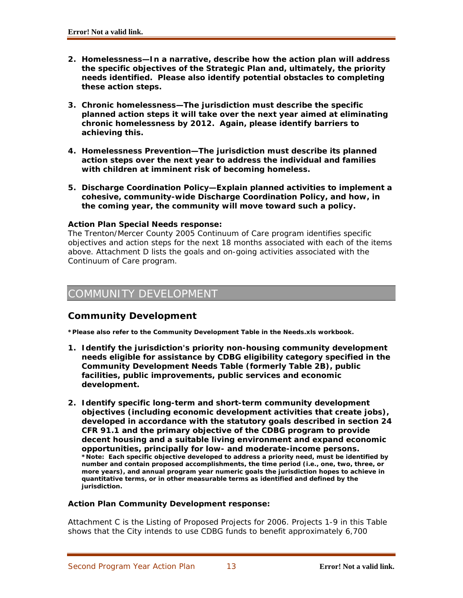- **2. Homelessness—In a narrative, describe how the action plan will address the specific objectives of the Strategic Plan and, ultimately, the priority needs identified. Please also identify potential obstacles to completing these action steps.**
- **3. Chronic homelessness—The jurisdiction must describe the specific planned action steps it will take over the next year aimed at eliminating chronic homelessness by 2012. Again, please identify barriers to achieving this.**
- **4. Homelessness Prevention—The jurisdiction must describe its planned action steps over the next year to address the individual and families with children at imminent risk of becoming homeless.**
- **5. Discharge Coordination Policy—Explain planned activities to implement a cohesive, community-wide Discharge Coordination Policy, and how, in the coming year, the community will move toward such a policy.**

## **Action Plan Special Needs response:**

The Trenton/Mercer County 2005 Continuum of Care program identifies specific objectives and action steps for the next 18 months associated with each of the items above. Attachment D lists the goals and on-going activities associated with the Continuum of Care program.

## COMMUNITY DEVELOPMENT

## **Community Development**

**\*Please also refer to the Community Development Table in the Needs.xls workbook.** 

- **1. Identify the jurisdiction's priority non-housing community development needs eligible for assistance by CDBG eligibility category specified in the Community Development Needs Table (formerly Table 2B), public facilities, public improvements, public services and economic development.**
- **2. Identify specific long-term and short-term community development objectives (including economic development activities that create jobs), developed in accordance with the statutory goals described in section 24 CFR 91.1 and the primary objective of the CDBG program to provide decent housing and a suitable living environment and expand economic opportunities, principally for low- and moderate-income persons. \*Note: Each specific objective developed to address a priority need, must be identified by number and contain proposed accomplishments, the time period (i.e., one, two, three, or more years), and annual program year numeric goals the jurisdiction hopes to achieve in quantitative terms, or in other measurable terms as identified and defined by the jurisdiction.**

### **Action Plan Community Development response:**

Attachment C is the Listing of Proposed Projects for 2006. Projects 1-9 in this Table shows that the City intends to use CDBG funds to benefit approximately 6,700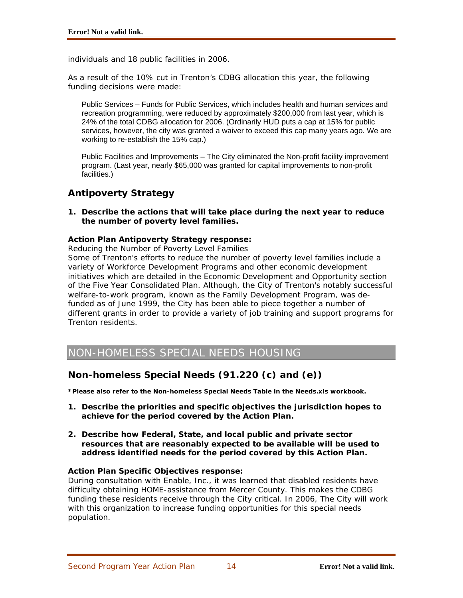individuals and 18 public facilities in 2006.

As a result of the 10% cut in Trenton's CDBG allocation this year, the following funding decisions were made:

Public Services – Funds for Public Services, which includes health and human services and recreation programming, were reduced by approximately \$200,000 from last year, which is 24% of the total CDBG allocation for 2006. (Ordinarily HUD puts a cap at 15% for public services, however, the city was granted a waiver to exceed this cap many years ago. We are working to re-establish the 15% cap.)

Public Facilities and Improvements – The City eliminated the Non-profit facility improvement program. (Last year, nearly \$65,000 was granted for capital improvements to non-profit facilities.)

## **Antipoverty Strategy**

**1. Describe the actions that will take place during the next year to reduce the number of poverty level families.** 

### **Action Plan Antipoverty Strategy response:**

Reducing the Number of Poverty Level Families

Some of Trenton's efforts to reduce the number of poverty level families include a variety of Workforce Development Programs and other economic development initiatives which are detailed in the Economic Development and Opportunity section of the Five Year Consolidated Plan. Although, the City of Trenton's notably successful welfare-to-work program, known as the Family Development Program, was defunded as of June 1999, the City has been able to piece together a number of different grants in order to provide a variety of job training and support programs for Trenton residents.

NON-HOMELESS SPECIAL NEEDS HOUSING

## **Non-homeless Special Needs (91.220 (c) and (e))**

**\*Please also refer to the Non-homeless Special Needs Table in the Needs.xls workbook.** 

- **1. Describe the priorities and specific objectives the jurisdiction hopes to achieve for the period covered by the Action Plan.**
- **2. Describe how Federal, State, and local public and private sector resources that are reasonably expected to be available will be used to address identified needs for the period covered by this Action Plan.**

### **Action Plan Specific Objectives response:**

During consultation with Enable, Inc., it was learned that disabled residents have difficulty obtaining HOME-assistance from Mercer County. This makes the CDBG funding these residents receive through the City critical. In 2006, The City will work with this organization to increase funding opportunities for this special needs population.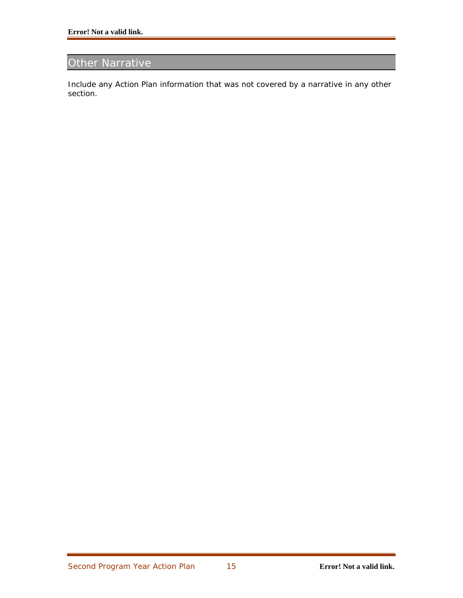## Other Narrative

Include any Action Plan information that was not covered by a narrative in any other section.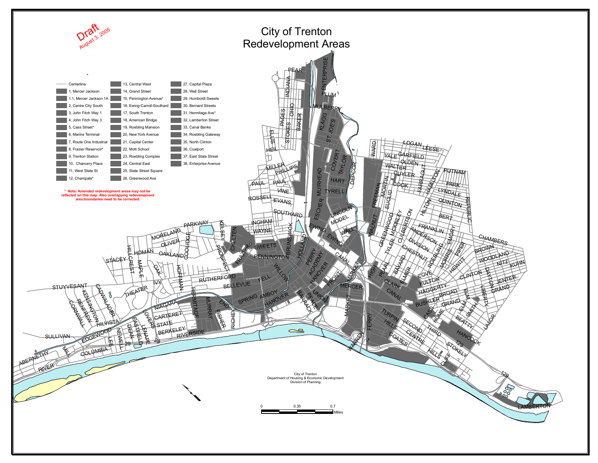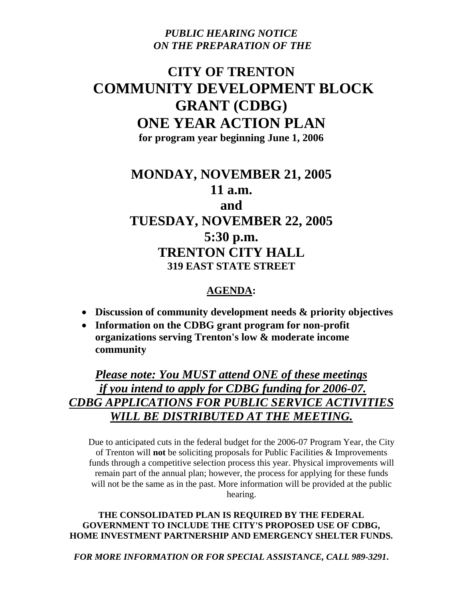*PUBLIC HEARING NOTICE ON THE PREPARATION OF THE*

## **CITY OF TRENTON COMMUNITY DEVELOPMENT BLOCK GRANT (CDBG) ONE YEAR ACTION PLAN for program year beginning June 1, 2006**

**MONDAY, NOVEMBER 21, 2005 11 a.m. and TUESDAY, NOVEMBER 22, 2005 5:30 p.m. TRENTON CITY HALL 319 EAST STATE STREET** 

## **AGENDA:**

- **Discussion of community development needs & priority objectives**
- **Information on the CDBG grant program for non-profit organizations serving Trenton's low & moderate income community**

*Please note: You MUST attend ONE of these meetings if you intend to apply for CDBG funding for 2006-07. CDBG APPLICATIONS FOR PUBLIC SERVICE ACTIVITIES WILL BE DISTRIBUTED AT THE MEETING.* 

Due to anticipated cuts in the federal budget for the 2006-07 Program Year, the City of Trenton will **not** be soliciting proposals for Public Facilities & Improvements funds through a competitive selection process this year. Physical improvements will remain part of the annual plan; however, the process for applying for these funds will not be the same as in the past. More information will be provided at the public hearing.

**THE CONSOLIDATED PLAN IS REQUIRED BY THE FEDERAL GOVERNMENT TO INCLUDE THE CITY'S PROPOSED USE OF CDBG, HOME INVESTMENT PARTNERSHIP AND EMERGENCY SHELTER FUNDS.**

*FOR MORE INFORMATION OR FOR SPECIAL ASSISTANCE, CALL 989-3291***.**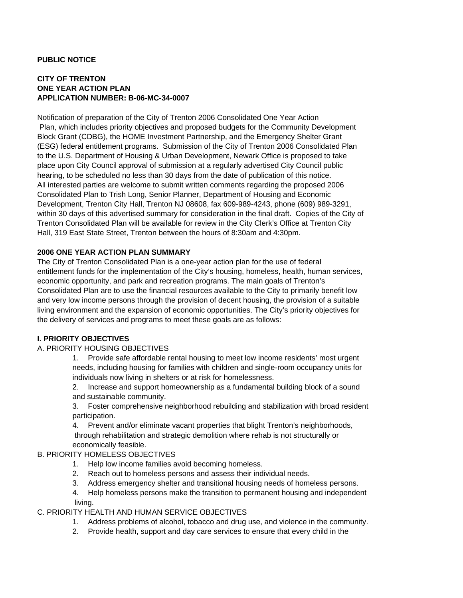#### **PUBLIC NOTICE**

## **CITY OF TRENTON ONE YEAR ACTION PLAN APPLICATION NUMBER: B-06-MC-34-0007**

Notification of preparation of the City of Trenton 2006 Consolidated One Year Action Plan, which includes priority objectives and proposed budgets for the Community Development Block Grant (CDBG), the HOME Investment Partnership, and the Emergency Shelter Grant (ESG) federal entitlement programs. Submission of the City of Trenton 2006 Consolidated Plan to the U.S. Department of Housing & Urban Development, Newark Office is proposed to take place upon City Council approval of submission at a regularly advertised City Council public hearing, to be scheduled no less than 30 days from the date of publication of this notice. All interested parties are welcome to submit written comments regarding the proposed 2006 Consolidated Plan to Trish Long, Senior Planner, Department of Housing and Economic Development, Trenton City Hall, Trenton NJ 08608, fax 609-989-4243, phone (609) 989-3291, within 30 days of this advertised summary for consideration in the final draft. Copies of the City of Trenton Consolidated Plan will be available for review in the City Clerk's Office at Trenton City Hall, 319 East State Street, Trenton between the hours of 8:30am and 4:30pm.

#### **2006 ONE YEAR ACTION PLAN SUMMARY**

The City of Trenton Consolidated Plan is a one-year action plan for the use of federal entitlement funds for the implementation of the City's housing, homeless, health, human services, economic opportunity, and park and recreation programs. The main goals of Trenton's Consolidated Plan are to use the financial resources available to the City to primarily benefit low and very low income persons through the provision of decent housing, the provision of a suitable living environment and the expansion of economic opportunities. The City's priority objectives for the delivery of services and programs to meet these goals are as follows:

### **I. PRIORITY OBJECTIVES**

#### A. PRIORITY HOUSING OBJECTIVES

1. Provide safe affordable rental housing to meet low income residents' most urgent needs, including housing for families with children and single-room occupancy units for individuals now living in shelters or at risk for homelessness.

2. Increase and support homeownership as a fundamental building block of a sound and sustainable community.

3. Foster comprehensive neighborhood rebuilding and stabilization with broad resident participation.

4. Prevent and/or eliminate vacant properties that blight Trenton's neighborhoods, through rehabilitation and strategic demolition where rehab is not structurally or economically feasible.

#### B. PRIORITY HOMELESS OBJECTIVES

- 1. Help low income families avoid becoming homeless.
- 2. Reach out to homeless persons and assess their individual needs.
- 3. Address emergency shelter and transitional housing needs of homeless persons.
- 4. Help homeless persons make the transition to permanent housing and independent living.

### C. PRIORITY HEALTH AND HUMAN SERVICE OBJECTIVES

- 1. Address problems of alcohol, tobacco and drug use, and violence in the community.
- 2. Provide health, support and day care services to ensure that every child in the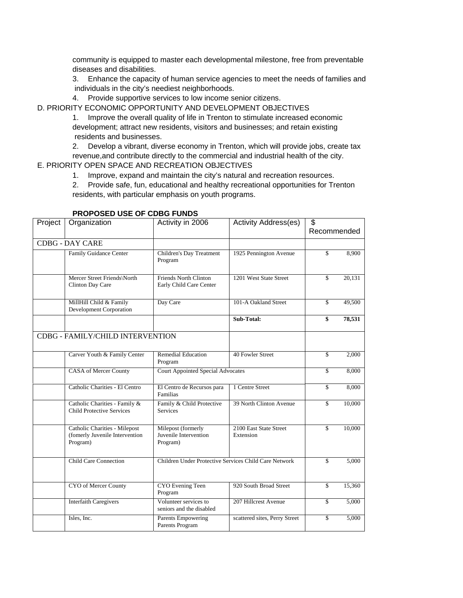community is equipped to master each developmental milestone, free from preventable diseases and disabilities.

3. Enhance the capacity of human service agencies to meet the needs of families and individuals in the city's neediest neighborhoods.

4. Provide supportive services to low income senior citizens.

D. PRIORITY ECONOMIC OPPORTUNITY AND DEVELOPMENT OBJECTIVES

1. Improve the overall quality of life in Trenton to stimulate increased economic development; attract new residents, visitors and businesses; and retain existing residents and businesses.

2. Develop a vibrant, diverse economy in Trenton, which will provide jobs, create tax

revenue,and contribute directly to the commercial and industrial health of the city.

## E. PRIORITY OPEN SPACE AND RECREATION OBJECTIVES

1. Improve, expand and maintain the city's natural and recreation resources.

2. Provide safe, fun, educational and healthy recreational opportunities for Trenton residents, with particular emphasis on youth programs.

| Project | Organization                                                                | Activity in 2006                                        | <b>Activity Address(es)</b>         | \$          |        |
|---------|-----------------------------------------------------------------------------|---------------------------------------------------------|-------------------------------------|-------------|--------|
|         |                                                                             |                                                         |                                     | Recommended |        |
|         | <b>CDBG - DAY CARE</b>                                                      |                                                         |                                     |             |        |
|         | Family Guidance Center                                                      | Children's Day Treatment<br>Program                     | 1925 Pennington Avenue              | \$          | 8,900  |
|         | Mercer Street Friends\North<br>Clinton Day Care                             | <b>Friends North Clinton</b><br>Early Child Care Center | 1201 West State Street              | \$          | 20,131 |
|         | MillHill Child & Family<br><b>Development Corporation</b>                   | Day Care                                                | 101-A Oakland Street                | \$          | 49,500 |
|         |                                                                             |                                                         | Sub-Total:                          | \$          | 78,531 |
|         | CDBG - FAMILY/CHILD INTERVENTION                                            |                                                         |                                     |             |        |
|         | Carver Youth & Family Center                                                | <b>Remedial Education</b><br>Program                    | 40 Fowler Street                    | \$          | 2.000  |
|         | <b>CASA of Mercer County</b>                                                | <b>Court Appointed Special Advocates</b>                |                                     | \$          | 8,000  |
|         | Catholic Charities - El Centro                                              | El Centro de Recursos para<br>Familias                  | 1 Centre Street                     | \$          | 8,000  |
|         | Catholic Charities - Family &<br><b>Child Protective Services</b>           | Family & Child Protective<br><b>Services</b>            | 39 North Clinton Avenue             | \$          | 10,000 |
|         | Catholic Charities - Milepost<br>(fomerly Juvenile Intervention<br>Program) | Milepost (formerly<br>Juvenile Intervention<br>Program) | 2100 East State Street<br>Extension | \$          | 10,000 |
|         | <b>Child Care Connection</b>                                                | Children Under Protective Services Child Care Network   |                                     | \$          | 5,000  |
|         | CYO of Mercer County                                                        | <b>CYO</b> Evening Teen<br>Program                      | 920 South Broad Street              | \$          | 15,360 |
|         | <b>Interfaith Caregivers</b>                                                | Volunteer services to<br>seniors and the disabled       | 207 Hillcrest Avenue                | \$          | 5,000  |
|         | Isles, Inc.                                                                 | <b>Parents Empowering</b><br>Parents Program            | scattered sites, Perry Street       | \$          | 5,000  |

### **PROPOSED USE OF CDBG FUNDS**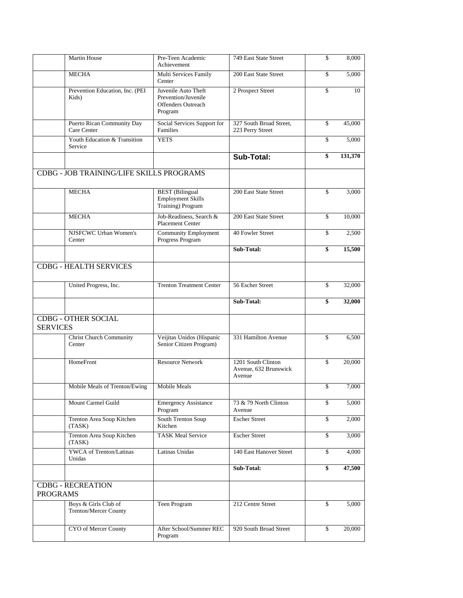|                 | Martin House                                  | Pre-Teen Academic<br>Achievement                                                   | 749 East State Street                                 | \$<br>8,000   |
|-----------------|-----------------------------------------------|------------------------------------------------------------------------------------|-------------------------------------------------------|---------------|
|                 | <b>MECHA</b>                                  | Multi Services Family<br>Center                                                    | 200 East State Street                                 | \$<br>5,000   |
|                 | Prevention Education, Inc. (PEI<br>Kids)      | Juvenile Auto Theft<br>Prevention/Juvenile<br><b>Offenders Outreach</b><br>Program | 2 Prospect Street                                     | \$<br>10      |
|                 | Puerto Rican Community Day<br>Care Center     | Social Services Support for<br>Families                                            | 327 South Broad Street,<br>223 Perry Street           | \$<br>45,000  |
|                 | Youth Education & Transition<br>Service       | <b>YETS</b>                                                                        |                                                       | \$<br>5,000   |
|                 |                                               |                                                                                    | Sub-Total:                                            | \$<br>131,370 |
|                 | CDBG - JOB TRAINING/LIFE SKILLS PROGRAMS      |                                                                                    |                                                       |               |
|                 | <b>MECHA</b>                                  | <b>BEST</b> (Bilingual<br><b>Employment Skills</b><br>Training) Program            | 200 East State Street                                 | \$<br>3,000   |
|                 | <b>MECHA</b>                                  | Job-Readiness, Search &<br><b>Placement Center</b>                                 | 200 East State Street                                 | \$<br>10,000  |
|                 | NJSFCWC Urban Women's<br>Center               | Community Employment<br>Progress Program                                           | 40 Fowler Street                                      | \$<br>2,500   |
|                 |                                               |                                                                                    | Sub-Total:                                            | \$<br>15,500  |
|                 | <b>CDBG - HEALTH SERVICES</b>                 |                                                                                    |                                                       |               |
|                 | United Progress, Inc.                         | <b>Trenton Treatment Center</b>                                                    | 56 Escher Street                                      | \$<br>32,000  |
|                 |                                               |                                                                                    |                                                       |               |
|                 |                                               |                                                                                    | Sub-Total:                                            | \$<br>32,000  |
| <b>SERVICES</b> | <b>CDBG - OTHER SOCIAL</b>                    |                                                                                    |                                                       |               |
|                 | <b>Christ Church Community</b><br>Center      | Veijitas Unidos (Hispanic<br>Senior Citizen Program)                               | 331 Hamilton Avenue                                   | \$<br>6,500   |
|                 | HomeFront                                     | <b>Resource Network</b>                                                            | 1201 South Clinton<br>Avenue, 632 Brunswick<br>Avenue | \$<br>20,000  |
|                 | Mobile Meals of Trenton/Ewing                 | <b>Mobile Meals</b>                                                                |                                                       | \$<br>7,000   |
|                 | Mount Carmel Guild                            | <b>Emergency Assistance</b><br>Program                                             | 73 & 79 North Clinton<br>Avenue                       | \$<br>5,000   |
|                 | Trenton Area Soup Kitchen<br>(TASK)           | South Trenton Soup<br>Kitchen                                                      | <b>Escher Street</b>                                  | \$<br>2,000   |
|                 | Trenton Area Soup Kitchen<br>(TASK)           | <b>TASK Meal Service</b>                                                           | <b>Escher Street</b>                                  | \$<br>3,000   |
|                 | <b>YWCA</b> of Trenton/Latinas<br>Unidas      | Latinas Unidas                                                                     | 140 East Hanover Street                               | \$<br>4.000   |
|                 |                                               |                                                                                    | Sub-Total:                                            | \$<br>47,500  |
| <b>PROGRAMS</b> | <b>CDBG - RECREATION</b>                      |                                                                                    |                                                       |               |
|                 | Boys & Girls Club of<br>Trenton/Mercer County | Teen Program                                                                       | 212 Centre Street                                     | \$<br>5,000   |
|                 | CYO of Mercer County                          | After School/Summer REC<br>Program                                                 | 920 South Broad Street                                | \$<br>20,000  |
|                 |                                               |                                                                                    |                                                       |               |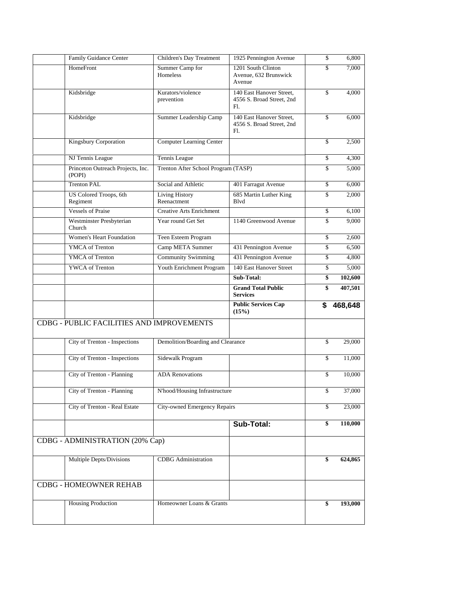| Family Guidance Center                              | Children's Day Treatment            | 1925 Pennington Avenue                                       | \$<br>6,800                        |
|-----------------------------------------------------|-------------------------------------|--------------------------------------------------------------|------------------------------------|
| HomeFront                                           | Summer Camp for<br>Homeless         | 1201 South Clinton<br>Avenue, 632 Brunswick<br>Avenue        | \$<br>7,000                        |
| Kidsbridge                                          | Kurators/violence<br>prevention     | 140 East Hanover Street,<br>4556 S. Broad Street, 2nd<br>Fl. | \$<br>4,000                        |
| Kidsbridge                                          | Summer Leadership Camp              | 140 East Hanover Street,<br>4556 S. Broad Street, 2nd<br>Fl. | \$<br>6,000                        |
| Kingsbury Corporation                               | Computer Learning Center            |                                                              | \$<br>2,500                        |
| NJ Tennis League                                    | Tennis League                       |                                                              | \$<br>4,300                        |
| Princeton Outreach Projects, Inc.<br>(POPI)         | Trenton After School Program (TASP) |                                                              | \$<br>5,000                        |
| <b>Trenton PAL</b>                                  | Social and Athletic                 | 401 Farragut Avenue                                          | \$<br>6,000                        |
| US Colored Troops, 6th<br>Regiment                  | Living History<br>Reenactment       | 685 Martin Luther King<br>Blvd                               | \$<br>2,000                        |
| <b>Vessels of Praise</b>                            | <b>Creative Arts Enrichment</b>     |                                                              | \$<br>6,100                        |
| Westminster Presbyterian<br>Church                  | Year round Get Set                  | 1140 Greenwood Avenue                                        | \$<br>9,000                        |
| <b>Women's Heart Foundation</b>                     | Teen Esteem Program                 |                                                              | \$<br>2,600                        |
| <b>YMCA</b> of Trenton                              | Camp META Summer                    | 431 Pennington Avenue                                        | \$<br>6,500                        |
| YMCA of Trenton                                     | <b>Community Swimming</b>           | 431 Pennington Avenue                                        | \$<br>4,800                        |
| YWCA of Trenton                                     | Youth Enrichment Program            | 140 East Hanover Street                                      | \$<br>5,000                        |
|                                                     |                                     | Sub-Total:                                                   | \$<br>102,600                      |
|                                                     |                                     | <b>Grand Total Public</b><br><b>Services</b>                 | \$<br>407,501                      |
|                                                     |                                     |                                                              |                                    |
|                                                     |                                     | <b>Public Services Cap</b><br>(15%)                          | \$<br>468,648                      |
| <b>CDBG - PUBLIC FACILITIES AND IMPROVEMENTS</b>    |                                     |                                                              |                                    |
| City of Trenton - Inspections                       | Demolition/Boarding and Clearance   |                                                              | \$<br>29,000                       |
| City of Trenton - Inspections                       | Sidewalk Program                    |                                                              | \$<br>11,000                       |
| City of Trenton - Planning                          | <b>ADA Renovations</b>              |                                                              | \$<br>10.000                       |
| City of Trenton - Planning                          | N'hood/Housing Infrastructure       |                                                              | \$<br>37,000                       |
| City of Trenton - Real Estate                       | <b>City-owned Emergency Repairs</b> |                                                              | \$                                 |
|                                                     |                                     | Sub-Total:                                                   | \$<br>110,000                      |
| CDBG - ADMINISTRATION (20% Cap)                     |                                     |                                                              |                                    |
| Multiple Depts/Divisions                            | <b>CDBG</b> Administration          |                                                              | \$                                 |
|                                                     |                                     |                                                              |                                    |
| <b>CDBG - HOMEOWNER REHAB</b><br>Housing Production | Homeowner Loans & Grants            |                                                              | \$<br>23,000<br>624,865<br>193,000 |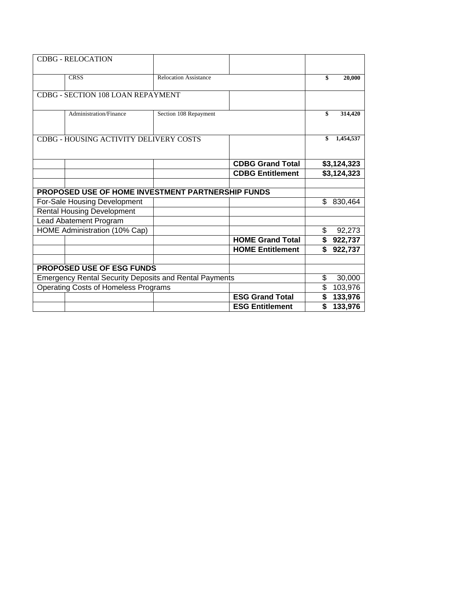| <b>CDBG - RELOCATION</b>                                      |                              |                         |                 |
|---------------------------------------------------------------|------------------------------|-------------------------|-----------------|
| <b>CRSS</b>                                                   | <b>Relocation Assistance</b> |                         | \$<br>20,000    |
| CDBG - SECTION 108 LOAN REPAYMENT                             |                              |                         |                 |
| Administration/Finance                                        | Section 108 Repayment        |                         | \$<br>314,420   |
| CDBG - HOUSING ACTIVITY DELIVERY COSTS                        |                              |                         | \$<br>1,454,537 |
|                                                               |                              | <b>CDBG Grand Total</b> | \$3,124,323     |
|                                                               |                              | <b>CDBG Entitlement</b> | \$3,124,323     |
|                                                               |                              |                         |                 |
| <b>PROPOSED USE OF HOME INVESTMENT PARTNERSHIP FUNDS</b>      |                              |                         |                 |
| For-Sale Housing Development                                  |                              |                         | \$<br>830,464   |
| <b>Rental Housing Development</b>                             |                              |                         |                 |
| Lead Abatement Program                                        |                              |                         |                 |
| HOME Administration (10% Cap)                                 |                              |                         | \$<br>92,273    |
|                                                               |                              | <b>HOME Grand Total</b> | \$<br>922,737   |
|                                                               |                              | <b>HOME Entitlement</b> | \$<br>922,737   |
|                                                               |                              |                         |                 |
| <b>PROPOSED USE OF ESG FUNDS</b>                              |                              |                         |                 |
| <b>Emergency Rental Security Deposits and Rental Payments</b> |                              |                         | \$<br>30,000    |
| <b>Operating Costs of Homeless Programs</b>                   |                              |                         | \$<br>103,976   |
|                                                               |                              | <b>ESG Grand Total</b>  | \$<br>133,976   |
|                                                               |                              | <b>ESG Entitlement</b>  | \$<br>133,976   |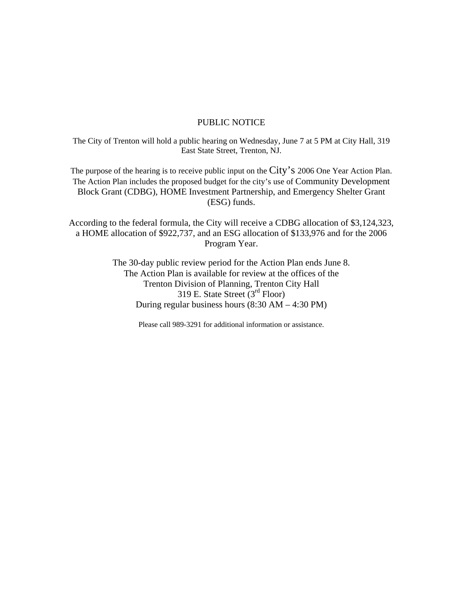### PUBLIC NOTICE

The City of Trenton will hold a public hearing on Wednesday, June 7 at 5 PM at City Hall, 319 East State Street, Trenton, NJ.

The purpose of the hearing is to receive public input on the City's 2006 One Year Action Plan. The Action Plan includes the proposed budget for the city's use of Community Development Block Grant (CDBG), HOME Investment Partnership, and Emergency Shelter Grant (ESG) funds.

According to the federal formula, the City will receive a CDBG allocation of \$3,124,323, a HOME allocation of \$922,737, and an ESG allocation of \$133,976 and for the 2006 Program Year.

> The 30-day public review period for the Action Plan ends June 8. The Action Plan is available for review at the offices of the Trenton Division of Planning, Trenton City Hall 319 E. State Street (3rd Floor) During regular business hours (8:30 AM – 4:30 PM)

> > Please call 989-3291 for additional information or assistance.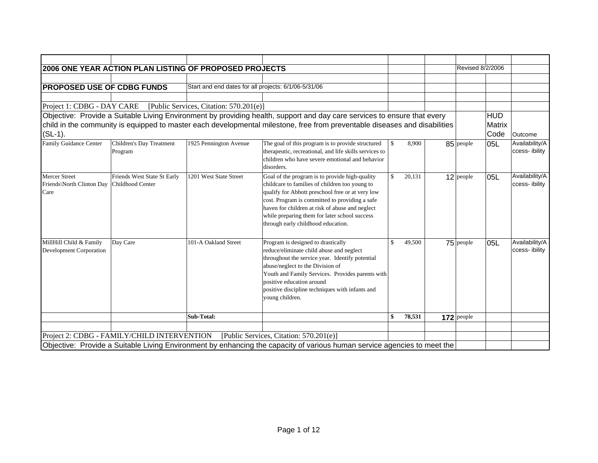|                                                           | 2006 ONE YEAR ACTION PLAN LISTING OF PROPOSED PROJECTS |                                                      |                                                                                                                                                                                                                                                                                                                                                  |               |        | Revised 8/2/2006 |            |                                 |
|-----------------------------------------------------------|--------------------------------------------------------|------------------------------------------------------|--------------------------------------------------------------------------------------------------------------------------------------------------------------------------------------------------------------------------------------------------------------------------------------------------------------------------------------------------|---------------|--------|------------------|------------|---------------------------------|
|                                                           |                                                        |                                                      |                                                                                                                                                                                                                                                                                                                                                  |               |        |                  |            |                                 |
| <b>PROPOSED USE OF CDBG FUNDS</b>                         |                                                        | Start and end dates for all projects: 6/1/06-5/31/06 |                                                                                                                                                                                                                                                                                                                                                  |               |        |                  |            |                                 |
|                                                           |                                                        |                                                      |                                                                                                                                                                                                                                                                                                                                                  |               |        |                  |            |                                 |
| Project 1: CDBG - DAY CARE                                |                                                        | [Public Services, Citation: 570.201(e)]              |                                                                                                                                                                                                                                                                                                                                                  |               |        |                  |            |                                 |
|                                                           |                                                        |                                                      | Objective: Provide a Suitable Living Environment by providing health, support and day care services to ensure that every                                                                                                                                                                                                                         |               |        |                  | <b>HUD</b> |                                 |
|                                                           |                                                        |                                                      | child in the community is equipped to master each developmental milestone, free from preventable diseases and disabilities                                                                                                                                                                                                                       |               |        |                  | Matrix     |                                 |
| $(SL-1)$ .                                                |                                                        |                                                      |                                                                                                                                                                                                                                                                                                                                                  |               |        |                  | Code       | Outcome                         |
| <b>Family Guidance Center</b>                             | Children's Day Treatment<br>Program                    | 1925 Pennington Avenue                               | The goal of this program is to provide structured<br>therapeutic, recreational, and life skills services to<br>children who have severe emotional and behavior<br>disorders.                                                                                                                                                                     | \$            | 8,900  | 85 people        | 05L        | Availability/A<br>ccess-ibility |
| <b>Mercer Street</b><br>Friends\North Clinton Day<br>Care | Friends West State St Early<br>Childhood Center        | 1201 West State Street                               | Goal of the program is to provide high-quality<br>childcare to families of children too young to<br>qualify for Abbott preschool free or at very low<br>cost. Program is committed to providing a safe<br>haven for children at risk of abuse and neglect<br>while preparing them for later school success<br>through early childhood education. | <sup>\$</sup> | 20,131 | $12$ people      | 05L        | Availability/A<br>ccess-ibility |
| MillHill Child & Family<br><b>Development Corporation</b> | Day Care                                               | 101-A Oakland Street                                 | Program is designed to drastically<br>reduce/eliminate child abuse and neglect<br>throughout the service year. Identify potential<br>abuse/neglect to the Division of<br>Youth and Family Services. Provides parents with<br>positive education around<br>positive discipline techniques with infants and<br>young children.                     | <sup>\$</sup> | 49,500 | 75 people        | 05L        | Availability/A<br>ccess-ibility |
|                                                           |                                                        | Sub-Total:                                           |                                                                                                                                                                                                                                                                                                                                                  | \$            | 78,531 | $172$ people     |            |                                 |
|                                                           |                                                        |                                                      |                                                                                                                                                                                                                                                                                                                                                  |               |        |                  |            |                                 |
|                                                           | Project 2: CDBG - FAMILY/CHILD INTERVENTION            |                                                      | [Public Services, Citation: 570.201(e)]                                                                                                                                                                                                                                                                                                          |               |        |                  |            |                                 |
|                                                           |                                                        |                                                      | Objective: Provide a Suitable Living Environment by enhancing the capacity of various human service agencies to meet the                                                                                                                                                                                                                         |               |        |                  |            |                                 |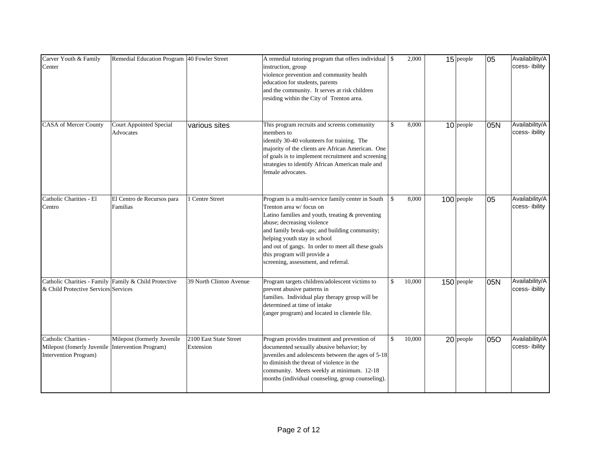| Carver Youth & Family<br>Center                                             | Remedial Education Program 40 Fowler Street           |                                     | A remedial tutoring program that offers individual \\$<br>instruction, group<br>violence prevention and community health<br>education for students, parents<br>and the community. It serves at risk children<br>residing within the City of Trenton area.                                                                                                                    |              | 2,000  | $15$ people  | 05  | Availability/A<br>ccess-ibility |
|-----------------------------------------------------------------------------|-------------------------------------------------------|-------------------------------------|------------------------------------------------------------------------------------------------------------------------------------------------------------------------------------------------------------------------------------------------------------------------------------------------------------------------------------------------------------------------------|--------------|--------|--------------|-----|---------------------------------|
| CASA of Mercer County                                                       | <b>Court Appointed Special</b><br>Advocates           | various sites                       | This program recruits and screens community<br>members to<br>identify 30-40 volunteers for training. The<br>majority of the clients are African American. One<br>of goals is to implement recruitment and screening<br>strategies to identify African American male and<br>female advocates.                                                                                 | $\mathbb{S}$ | 8,000  | $10$ people  | 05N | Availability/A<br>ccess-ibility |
| Catholic Charities - El<br>Centro                                           | El Centro de Recursos para<br>Familias                | <b>Centre Street</b>                | Program is a multi-service family center in South<br>Trenton area w/focus on<br>Latino families and youth, treating & preventing<br>abuse; decreasing violence<br>and family break-ups; and building community;<br>helping youth stay in school<br>and out of gangs. In order to meet all these goals<br>this program will provide a<br>screening, assessment, and referral. | \$           | 8,000  | $100$ people | 05  | Availability/A<br>ccess-ibility |
| & Child Protective Services Services                                        | Catholic Charities - Family Family & Child Protective | 39 North Clinton Avenue             | Program targets children/adolescent victims to<br>prevent abusive patterns in<br>families. Individual play therapy group will be<br>determined at time of intake<br>(anger program) and located in clientele file.                                                                                                                                                           | \$           | 10,000 | $150$ people | 05N | Availability/A<br>ccess-ibility |
| Catholic Charities -<br>Milepost (fomerly Juvenile<br>Intervention Program) | Milepost (formerly Juvenile<br>Intervention Program)  | 2100 East State Street<br>Extension | Program provides treatment and prevention of<br>documented sexually abusive behavior; by<br>juveniles and adolescents between the ages of 5-18<br>to diminish the threat of violence in the<br>community. Meets weekly at minimum. 12-18<br>months (individual counseling, group counseling).                                                                                | \$           | 10,000 | 20 people    | 050 | Availability/A<br>ccess-ibility |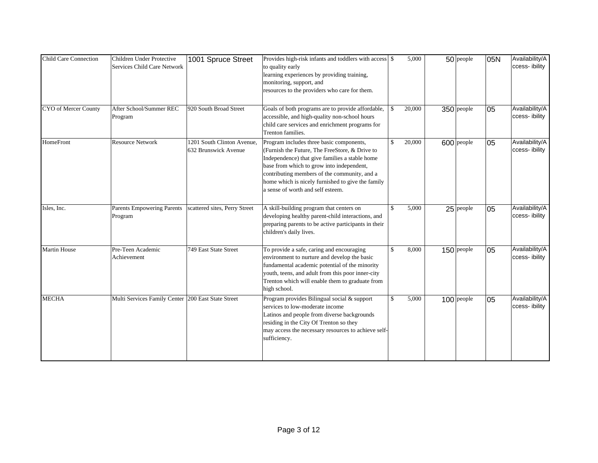| <b>Child Care Connection</b> | Children Under Protective<br>Services Child Care Network | 1001 Spruce Street                                 | Provides high-risk infants and toddlers with access \$<br>to quality early<br>learning experiences by providing training,<br>monitoring, support, and<br>resources to the providers who care for them.                                                                                                                              |                        | 5,000  | $50$ people  | 05N | Availability/A<br>ccess-ibility  |
|------------------------------|----------------------------------------------------------|----------------------------------------------------|-------------------------------------------------------------------------------------------------------------------------------------------------------------------------------------------------------------------------------------------------------------------------------------------------------------------------------------|------------------------|--------|--------------|-----|----------------------------------|
| CYO of Mercer County         | After School/Summer REC<br>Program                       | 920 South Broad Street                             | Goals of both programs are to provide affordable,<br>accessible, and high-quality non-school hours<br>child care services and enrichment programs for<br>Trenton families.                                                                                                                                                          | $\mathbf{\mathcal{S}}$ | 20,000 | 350 people   | 05  | Availability/A<br>ccess-ibility  |
| HomeFront                    | <b>Resource Network</b>                                  | 1201 South Clinton Avenue.<br>632 Brunswick Avenue | Program includes three basic components,<br>(Furnish the Future, The FreeStore, & Drive to<br>Independence) that give families a stable home<br>base from which to grow into independent,<br>contributing members of the community, and a<br>home which is nicely furnished to give the family<br>a sense of worth and self esteem. | $\mathbb{S}$           | 20,000 | 600 people   | 05  | Availability/A<br>ccess-ibility  |
| Isles, Inc.                  | <b>Parents Empowering Parents</b><br>Program             | scattered sites, Perry Street                      | A skill-building program that centers on<br>developing healthy parent-child interactions, and<br>preparing parents to be active participants in their<br>children's daily lives.                                                                                                                                                    | \$                     | 5,000  | $25$ people  | 05  | Availability/A<br>ccess- ibility |
| <b>Martin House</b>          | Pre-Teen Academic<br>Achievement                         | 749 East State Street                              | To provide a safe, caring and encouraging<br>environment to nurture and develop the basic<br>fundamental academic potential of the minority<br>youth, teens, and adult from this poor inner-city<br>Trenton which will enable them to graduate from<br>high school.                                                                 | $\mathbb{S}$           | 8,000  | $150$ people | 05  | Availability/A<br>ccess-ibility  |
| <b>MECHA</b>                 | Multi Services Family Center 200 East State Street       |                                                    | Program provides Bilingual social & support<br>services to low-moderate income<br>Latinos and people from diverse backgrounds<br>residing in the City Of Trenton so they<br>may access the necessary resources to achieve self-<br>sufficiency.                                                                                     | \$                     | 5,000  | $100$ people | 05  | Availability/A<br>ccess-ibility  |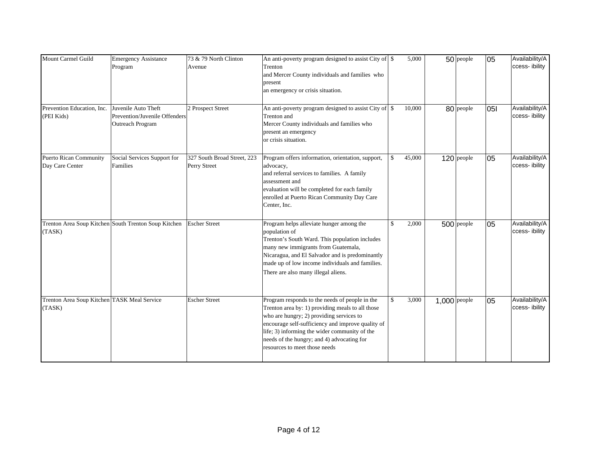| Mount Carmel Guild                                    | <b>Emergency Assistance</b><br>Program                                   | 73 & 79 North Clinton<br>Avenue             | An anti-poverty program designed to assist City of \$<br>Trenton<br>and Mercer County individuals and families who<br>present<br>an emergency or crisis situation.                                                                                                                                                                  |              | 5,000  |              | $50$ people  | 05  | Availability/A<br>ccess-ibility |
|-------------------------------------------------------|--------------------------------------------------------------------------|---------------------------------------------|-------------------------------------------------------------------------------------------------------------------------------------------------------------------------------------------------------------------------------------------------------------------------------------------------------------------------------------|--------------|--------|--------------|--------------|-----|---------------------------------|
| Prevention Education, Inc.<br>(PEI Kids)              | Juvenile Auto Theft<br>Prevention/Juvenile Offenders<br>Outreach Program | 2 Prospect Street                           | An anti-poverty program designed to assist City of \$<br>Trenton and<br>Mercer County individuals and families who<br>present an emergency<br>or crisis situation.                                                                                                                                                                  |              | 10,000 |              | 80 people    | 051 | Availability/A<br>ccess-ibility |
| <b>Puerto Rican Community</b><br>Day Care Center      | Social Services Support for<br>Families                                  | 327 South Broad Street, 223<br>Perry Street | Program offers information, orientation, support,<br>advocacy,<br>and referral services to families. A family<br>assessment and<br>evaluation will be completed for each family<br>enrolled at Puerto Rican Community Day Care<br>Center, Inc.                                                                                      | $\mathbf{s}$ | 45,000 |              | 120 people   | 05  | Availability/A<br>ccess-ibility |
| (TASK)                                                | Trenton Area Soup Kitchen South Trenton Soup Kitchen                     | <b>Escher Street</b>                        | Program helps alleviate hunger among the<br>population of<br>Trenton's South Ward. This population includes<br>many new immigrants from Guatemala,<br>Nicaragua, and El Salvador and is predominantly<br>made up of low income individuals and families.<br>There are also many illegal aliens.                                     | \$           | 2,000  |              | $500$ people | 05  | Availability/A<br>ccess-ibility |
| Trenton Area Soup Kitchen TASK Meal Service<br>(TASK) |                                                                          | <b>Escher Street</b>                        | Program responds to the needs of people in the<br>Trenton area by: 1) providing meals to all those<br>who are hungry; 2) providing services to<br>encourage self-sufficiency and improve quality of<br>life; 3) informing the wider community of the<br>needs of the hungry; and 4) advocating for<br>resources to meet those needs | \$           | 3,000  | 1,000 people |              | 05  | Availability/A<br>ccess-ibility |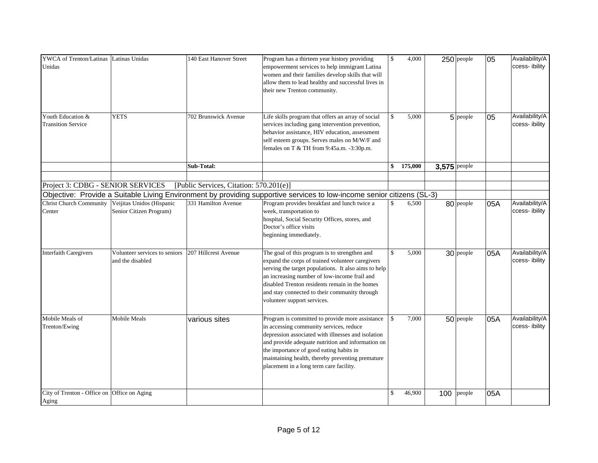| YWCA of Trenton/Latinas Latinas Unidas<br>Unidas            |                                                   | 140 East Hanover Street                 | Program has a thirteen year history providing<br>empowerment services to help immigrant Latina<br>women and their families develop skills that will<br>allow them to lead healthy and successful lives in<br>their new Trenton community.                                                                                                       | $\mathcal{S}$ | 4,000   | $250$ people  | 05  | Availability/A<br>ccess-ibility |
|-------------------------------------------------------------|---------------------------------------------------|-----------------------------------------|-------------------------------------------------------------------------------------------------------------------------------------------------------------------------------------------------------------------------------------------------------------------------------------------------------------------------------------------------|---------------|---------|---------------|-----|---------------------------------|
| Youth Education &<br><b>Transition Service</b>              | <b>YETS</b>                                       | 702 Brunswick Avenue                    | Life skills program that offers an array of social<br>services including gang intervention prevention,<br>behavior assistance, HIV education, assessment<br>self esteem groups. Serves males on M/W/F and<br>females on T $&$ TH from 9:45a.m. $-3:30p.m.$                                                                                      | $\mathbb{S}$  | 5,000   | 5 people      | 05  | Availability/A<br>ccess-ibility |
|                                                             |                                                   | Sub-Total:                              |                                                                                                                                                                                                                                                                                                                                                 | \$            | 175,000 | 3,575 people  |     |                                 |
|                                                             |                                                   |                                         |                                                                                                                                                                                                                                                                                                                                                 |               |         |               |     |                                 |
| Project 3: CDBG - SENIOR SERVICES                           |                                                   | [Public Services, Citation: 570.201(e)] |                                                                                                                                                                                                                                                                                                                                                 |               |         |               |     |                                 |
|                                                             |                                                   |                                         | Objective: Provide a Suitable Living Environment by providing supportive services to low-income senior citizens (SL-3)                                                                                                                                                                                                                          |               |         |               |     |                                 |
| Christ Church Community Veijitas Unidos (Hispanic<br>Center | Senior Citizen Program)                           | 331 Hamilton Avenue                     | Program provides breakfast and lunch twice a<br>week, transportation to<br>hospital, Social Security Offices, stores, and<br>Doctor's office visits<br>beginning immediately.                                                                                                                                                                   | \$            | 6,500   | 80 people     | 05A | Availability/A<br>ccess-ibility |
| <b>Interfaith Caregivers</b>                                | Volunteer services to seniors<br>and the disabled | 207 Hillcrest Avenue                    | The goal of this program is to strengthen and<br>expand the corps of trained volunteer caregivers<br>serving the target populations. It also aims to help<br>an increasing number of low-income frail and<br>disabled Trenton residents remain in the homes<br>and stay connected to their community through<br>volunteer support services.     | $\mathbb{S}$  | 5,000   | 30 people     | 05A | Availability/A<br>ccess-ibility |
| Mobile Meals of<br>Trenton/Ewing                            | <b>Mobile Meals</b>                               | various sites                           | Program is committed to provide more assistance<br>in accessing community services, reduce<br>depression associated with illnesses and isolation<br>and provide adequate nutrition and information on<br>the importance of good eating habits in<br>maintaining health, thereby preventing premature<br>placement in a long term care facility. | $\mathcal{S}$ | 7,000   | 50 people     | 05A | Availability/A<br>ccess-ibility |
| City of Trenton - Office on Office on Aging<br>Aging        |                                                   |                                         |                                                                                                                                                                                                                                                                                                                                                 | \$            | 46,900  | 100<br>people | 05A |                                 |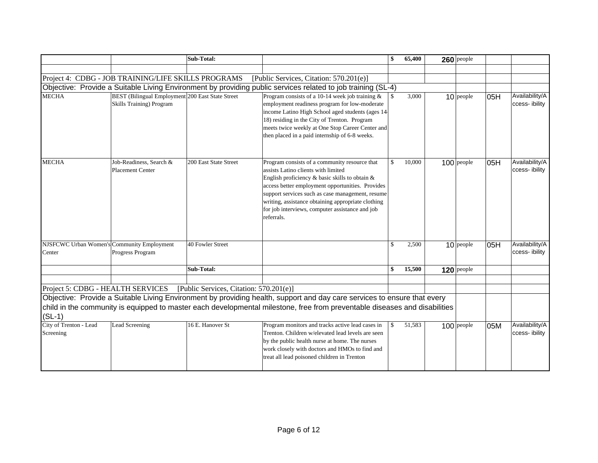|                                                      |                                                                                     | Sub-Total:                              | \$                                                                                                                                                                                                                                                                                                                                                                                    | 65,400 | $260$ people |     |                                 |
|------------------------------------------------------|-------------------------------------------------------------------------------------|-----------------------------------------|---------------------------------------------------------------------------------------------------------------------------------------------------------------------------------------------------------------------------------------------------------------------------------------------------------------------------------------------------------------------------------------|--------|--------------|-----|---------------------------------|
|                                                      |                                                                                     |                                         |                                                                                                                                                                                                                                                                                                                                                                                       |        |              |     |                                 |
|                                                      | Project 4: CDBG - JOB TRAINING/LIFE SKILLS PROGRAMS                                 |                                         | [Public Services, Citation: 570.201(e)]                                                                                                                                                                                                                                                                                                                                               |        |              |     |                                 |
|                                                      |                                                                                     |                                         | Objective: Provide a Suitable Living Environment by providing public services related to job training (SL-4)                                                                                                                                                                                                                                                                          |        |              |     |                                 |
| <b>MECHA</b>                                         | BEST (Bilingual Employment 200 East State Street<br><b>Skills Training) Program</b> |                                         | Program consists of a 10-14 week job training $\&$<br>$\mathcal{S}$<br>employment readiness program for low-moderate<br>income Latino High School aged students (ages 14-<br>18) residing in the City of Trenton. Program<br>meets twice weekly at One Stop Career Center and<br>then placed in a paid internship of 6-8 weeks.                                                       | 3,000  | $10$ people  | 05H | Availability/A<br>ccess-ibility |
| <b>MECHA</b>                                         | Job-Readiness, Search &<br>Placement Center                                         | 200 East State Street                   | Program consists of a community resource that<br>$\mathbb{S}$<br>assists Latino clients with limited<br>English proficiency & basic skills to obtain &<br>access better employment opportunities. Provides<br>support services such as case management, resume<br>writing, assistance obtaining appropriate clothing<br>for job interviews, computer assistance and job<br>referrals. | 10,000 | $100$ people | 05H | Availability/A<br>ccess-ibility |
| NJSFCWC Urban Women's Community Employment<br>Center | Progress Program                                                                    | 40 Fowler Street                        | \$                                                                                                                                                                                                                                                                                                                                                                                    | 2,500  | $10$ people  | 05H | Availability/A<br>ccess-ibility |
|                                                      |                                                                                     | Sub-Total:                              | \$                                                                                                                                                                                                                                                                                                                                                                                    | 15,500 | $120$ people |     |                                 |
|                                                      |                                                                                     |                                         |                                                                                                                                                                                                                                                                                                                                                                                       |        |              |     |                                 |
| Project 5: CDBG - HEALTH SERVICES                    |                                                                                     | [Public Services, Citation: 570.201(e)] |                                                                                                                                                                                                                                                                                                                                                                                       |        |              |     |                                 |
| $(SL-1)$                                             |                                                                                     |                                         | Objective: Provide a Suitable Living Environment by providing health, support and day care services to ensure that every<br>child in the community is equipped to master each developmental milestone, free from preventable diseases and disabilities                                                                                                                                |        |              |     |                                 |
| City of Trenton - Lead<br>Screening                  | Lead Screening                                                                      | 16 E. Hanover St                        | Program monitors and tracks active lead cases in<br>$\mathcal{S}$<br>Trenton. Children w/elevated lead levels are seen<br>by the public health nurse at home. The nurses<br>work closely with doctors and HMOs to find and<br>treat all lead poisoned children in Trenton                                                                                                             | 51,583 | $100$ people | 05M | Availability/A<br>ccess-ibility |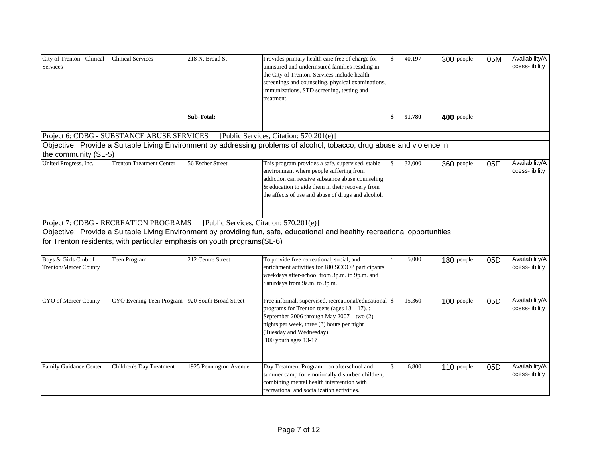| City of Trenton - Clinical<br>Services               | <b>Clinical Services</b>                                                                                         | 218 N. Broad St        | Provides primary health care free of charge for<br>uninsured and underinsured families residing in<br>the City of Trenton. Services include health<br>screenings and counseling, physical examinations,<br>immunizations, STD screening, testing and<br>treatment. | $\mathbb{S}$  | 40,197 | 300 people   | 05M | Availability/A<br>ccess-ibility  |
|------------------------------------------------------|------------------------------------------------------------------------------------------------------------------|------------------------|--------------------------------------------------------------------------------------------------------------------------------------------------------------------------------------------------------------------------------------------------------------------|---------------|--------|--------------|-----|----------------------------------|
|                                                      |                                                                                                                  | Sub-Total:             |                                                                                                                                                                                                                                                                    | \$            | 91,780 | 400 people   |     |                                  |
|                                                      |                                                                                                                  |                        |                                                                                                                                                                                                                                                                    |               |        |              |     |                                  |
| the community (SL-5)                                 | Project 6: CDBG - SUBSTANCE ABUSE SERVICES                                                                       |                        | [Public Services, Citation: 570.201(e)]<br>Objective: Provide a Suitable Living Environment by addressing problems of alcohol, tobacco, drug abuse and violence in                                                                                                 |               |        |              |     |                                  |
| United Progress, Inc.                                | <b>Trenton Treatment Center</b>                                                                                  | 56 Escher Street       | This program provides a safe, supervised, stable<br>environment where people suffering from<br>addiction can receive substance abuse counseling<br>& education to aide them in their recovery from<br>the affects of use and abuse of drugs and alcohol.           | $\mathbf{s}$  | 32,000 | 360 people   | 05F | Availability/A<br>ccess-ibility  |
|                                                      | Project 7: CDBG - RECREATION PROGRAMS<br>for Trenton residents, with particular emphasis on youth programs(SL-6) |                        | [Public Services, Citation: 570.201(e)]<br>Objective: Provide a Suitable Living Environment by providing fun, safe, educational and healthy recreational opportunities                                                                                             |               |        |              |     |                                  |
| Boys & Girls Club of<br><b>Trenton/Mercer County</b> | Teen Program                                                                                                     | 212 Centre Street      | To provide free recreational, social, and<br>enrichment activities for 180 SCOOP participants<br>weekdays after-school from 3p.m. to 9p.m. and<br>Saturdays from 9a.m. to 3p.m.                                                                                    | $\mathcal{S}$ | 5,000  | 180 people   | 05D | Availability/A<br>ccess- ibility |
| CYO of Mercer County                                 | CYO Evening Teen Program                                                                                         | 920 South Broad Street | Free informal, supervised, recreational/educational \$<br>programs for Trenton teens (ages $13 - 17$ ).:<br>September 2006 through May 2007 - two (2)<br>nights per week, three (3) hours per night<br>(Tuesday and Wednesday)<br>100 youth ages 13-17             |               | 15,360 | $100$ people | 05D | Availability/A<br>ccess-ibility  |
| Family Guidance Center                               | Children's Day Treatment                                                                                         | 1925 Pennington Avenue | Day Treatment Program - an afterschool and<br>summer camp for emotionally disturbed children,<br>combining mental health intervention with<br>recreational and socialization activities.                                                                           | \$            | 6,800  | $110$ people | 05D | Availability/A<br>ccess-ibility  |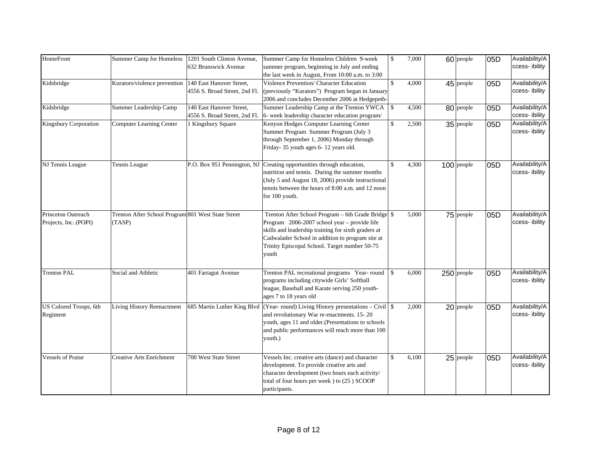| HomeFront                                          | <b>Summer Camp for Homeless</b>                              | 1201 South Clinton Avenue,                                | Summer Camp for Homeless Children 9-week                                                                                                                                                                                                                                | $\mathbf{s}$  | 7,000 | 60 people    |     | Availability/A                  |
|----------------------------------------------------|--------------------------------------------------------------|-----------------------------------------------------------|-------------------------------------------------------------------------------------------------------------------------------------------------------------------------------------------------------------------------------------------------------------------------|---------------|-------|--------------|-----|---------------------------------|
|                                                    |                                                              | 632 Brunswick Avenue                                      | summer program, beginning in July and ending<br>the last week in August, From 10:00 a.m. to 3:00                                                                                                                                                                        |               |       |              | 05D | ccess- ibility                  |
| Kidsbridge                                         | Kurators/violence prevention                                 | 140 East Hanover Street,<br>4556 S. Broad Street, 2nd Fl. | Violence Prevention/ Character Education<br>(previously "Kurators") Program began in January<br>2006 and concludes December 2006 at Hedgepeth-                                                                                                                          | $\mathbf S$   | 4,000 | 45 people    | 05D | Availability/A<br>ccess-ibility |
| Kidsbridge                                         | Summer Leadership Camp                                       | 140 East Hanover Street,<br>4556 S. Broad Street, 2nd Fl. | Summer Leadership Camp at the Trenton YWCA<br>6- week leadership character education program/                                                                                                                                                                           | \$            | 4,500 | 80 people    | 05D | Availability/A<br>ccess-ibility |
| <b>Kingsbury Corporation</b>                       | <b>Computer Learning Center</b>                              | 1 Kingsbury Square                                        | Kenyon Hodges Computer Learning Center<br>Summer Program Summer Program (July 3<br>through September 1, 2006) Monday through<br>Friday- 35 youth ages 6-12 years old.                                                                                                   | $\mathsf{\$}$ | 2,500 | $35$ people  | 05D | Availability/A<br>ccess-ibility |
| NJ Tennis League                                   | Tennis League                                                | P.O. Box 951 Pennington, NJ                               | Creating opportunities through education,<br>nutrition and tennis. During the summer months<br>(July 5 and August 18, 2006) provide instructional<br>tennis between the hours of 8:00 a.m. and 12 noon<br>for 100 youth.                                                | \$            | 4,300 | $100$ people | 05D | Availability/A<br>ccess-ibility |
| <b>Princeton Outreach</b><br>Projects, Inc. (POPI) | Trenton After School Program 801 West State Street<br>(TASP) |                                                           | Trenton After School Program - 6th Grade Bridge \$<br>Program 2006-2007 school year - provide life<br>skills and leadership training for sixth graders at<br>Cadwalader School in addition to program site at<br>Trinity Episcopal School. Target number 50-75<br>youth |               | 5,000 | $75$ people  | 05D | Availability/A<br>ccess-ibility |
| <b>Trenton PAL</b>                                 | Social and Athletic                                          | 401 Farragut Avenue                                       | Trenton PAL recreational programs Year-round<br>programs including citywide Girls' Softball<br>league, Baseball and Karate serving 250 youth-<br>ages 7 to 18 years old                                                                                                 | $\mathbb{S}$  | 6,000 | $250$ people | 05D | Availability/A<br>ccess-ibility |
| US Colored Troops, 6th<br>Regiment                 | Living History Reenactment                                   | 685 Martin Luther King Blvd                               | (Year-round) Living History presentations – Civil $\frac{1}{s}$<br>and revolutionary War re-enactments. 15-20<br>youth, ages 11 and older.(Presentations to schools<br>and public performances will reach more than 100<br>youth.)                                      |               | 2,000 | 20 people    | 05D | Availability/A<br>ccess-ibility |
| <b>Vessels of Praise</b>                           | <b>Creative Arts Enrichment</b>                              | 700 West State Street                                     | Vessels Inc. creative arts (dance) and character<br>development. To provide creative arts and<br>character development (two hours each activity/<br>total of four hours per week ) to (25) SCOOP<br>participants.                                                       | \$            | 6,100 | 25 people    | 05D | Availability/A<br>ccess-ibility |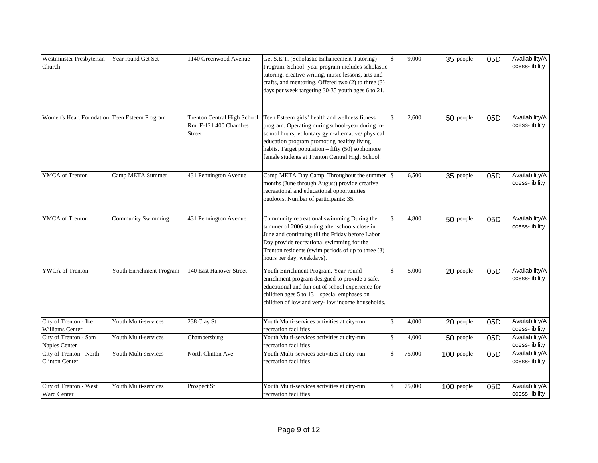| Westminster Presbyterian<br>Church               | Year round Get Set        | 1140 Greenwood Avenue                                          | Get S.E.T. (Scholastic Enhancement Tutoring)<br>Program. School- year program includes scholastic<br>tutoring, creative writing, music lessons, arts and<br>crafts, and mentoring. Offered two (2) to three (3)<br>days per week targeting 30-35 youth ages 6 to 21.                                        | $\mathbb{S}$  | 9,000  | $35$ people  | 05D | Availability/A<br>ccess-ibility |
|--------------------------------------------------|---------------------------|----------------------------------------------------------------|-------------------------------------------------------------------------------------------------------------------------------------------------------------------------------------------------------------------------------------------------------------------------------------------------------------|---------------|--------|--------------|-----|---------------------------------|
| Women's Heart Foundation Teen Esteem Program     |                           | Trenton Central High School<br>Rm. F-121 400 Chambes<br>Street | Teen Esteem girls' health and wellness fitness<br>program. Operating during school-year during in-<br>school hours; voluntary gym-alternative/physical<br>education program promoting healthy living<br>habits. Target population - fifty (50) sophomore<br>female students at Trenton Central High School. | $\mathbb{S}$  | 2,600  | $50$ people  | 05D | Availability/A<br>ccess-ibility |
| <b>YMCA</b> of Trenton                           | Camp META Summer          | 431 Pennington Avenue                                          | Camp META Day Camp, Throughout the summer \ \ \$<br>months (June through August) provide creative<br>recreational and educational opportunities<br>outdoors. Number of participants: 35.                                                                                                                    |               | 6,500  | $35$ people  | 05D | Availability/A<br>ccess-ibility |
| <b>YMCA</b> of Trenton                           | <b>Community Swimming</b> | 431 Pennington Avenue                                          | Community recreational swimming During the<br>summer of 2006 starting after schools close in<br>June and continuing till the Friday before Labor<br>Day provide recreational swimming for the<br>Trenton residents (swim periods of up to three (3)<br>hours per day, weekdays).                            | $\mathbb{S}$  | 4,800  | $50$ people  | 05D | Availability/A<br>ccess-ibility |
| YWCA of Trenton                                  | Youth Enrichment Program  | 140 East Hanover Street                                        | Youth Enrichment Program, Year-round<br>enrichment program designed to provide a safe,<br>educational and fun out of school experience for<br>children ages $5$ to $13$ – special emphases on<br>children of low and very- low income households.                                                           | $\mathcal{S}$ | 5,000  | $20$ people  | 05D | Availability/A<br>ccess-ibility |
| City of Trenton - Ike<br><b>Williams Center</b>  | Youth Multi-services      | 238 Clay St                                                    | Youth Multi-services activities at city-run<br>recreation facilities                                                                                                                                                                                                                                        | $\mathbb{S}$  | 4,000  | $20$ people  | 05D | Availability/A<br>ccess-ibility |
| City of Trenton - Sam<br><b>Naples Center</b>    | Youth Multi-services      | Chambersburg                                                   | Youth Multi-services activities at city-run<br>recreation facilities                                                                                                                                                                                                                                        | $\mathbb{S}$  | 4,000  | $50$ people  | 05D | Availability/A<br>ccess-ibility |
| City of Trenton - North<br><b>Clinton Center</b> | Youth Multi-services      | North Clinton Ave                                              | Youth Multi-services activities at city-run<br>recreation facilities                                                                                                                                                                                                                                        | $\mathbb{S}$  | 75,000 | $100$ people | 05D | Availability/A<br>ccess-ibility |
| City of Trenton - West<br>Ward Center            | Youth Multi-services      | Prospect St                                                    | Youth Multi-services activities at city-run<br>recreation facilities                                                                                                                                                                                                                                        | \$            | 75,000 | $100$ people | 05D | Availability/A<br>ccess-ibility |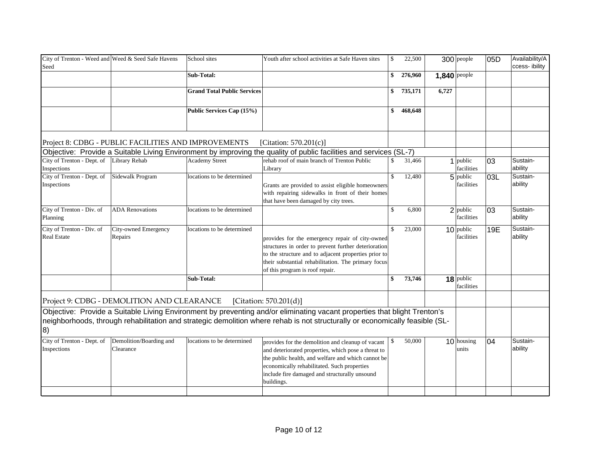| City of Trenton - Weed and Weed & Seed Safe Havens<br>Seed |                                      | School sites                       | Youth after school activities at Safe Haven sites                                                                                                                                                                                                                            | $\mathbb{S}$ | 22,500  |                     | 300 people                | 05D | Availability/A<br>ccess- ibility |
|------------------------------------------------------------|--------------------------------------|------------------------------------|------------------------------------------------------------------------------------------------------------------------------------------------------------------------------------------------------------------------------------------------------------------------------|--------------|---------|---------------------|---------------------------|-----|----------------------------------|
|                                                            |                                      | Sub-Total:                         |                                                                                                                                                                                                                                                                              | \$           | 276,960 | <b>1,840</b> people |                           |     |                                  |
|                                                            |                                      | <b>Grand Total Public Services</b> |                                                                                                                                                                                                                                                                              | \$           | 735,171 | 6,727               |                           |     |                                  |
|                                                            |                                      | Public Services Cap (15%)          |                                                                                                                                                                                                                                                                              | \$           | 468,648 |                     |                           |     |                                  |
| Project 8: CDBG - PUBLIC FACILITIES AND IMPROVEMENTS       |                                      |                                    | [Citation: $570.201(c)$ ]                                                                                                                                                                                                                                                    |              |         |                     |                           |     |                                  |
|                                                            |                                      |                                    | Objective: Provide a Suitable Living Environment by improving the quality of public facilities and services (SL-7)                                                                                                                                                           |              |         |                     |                           |     |                                  |
| City of Trenton - Dept. of<br>Inspections                  | Library Rehab                        | <b>Academy Street</b>              | rehab roof of main branch of Trenton Public<br>Library                                                                                                                                                                                                                       | \$           | 31,466  |                     | 1 public<br>facilities    | 03  | Sustain-<br>ability              |
| City of Trenton - Dept. of<br>Inspections                  | Sidewalk Program                     | locations to be determined         | Grants are provided to assist eligible homeowners<br>with repairing sidewalks in front of their homes<br>that have been damaged by city trees.                                                                                                                               | \$           | 12,480  |                     | $5$ public<br>facilities  | 03L | Sustain-<br>ability              |
| City of Trenton - Div. of<br>Planning                      | <b>ADA Renovations</b>               | locations to be determined         |                                                                                                                                                                                                                                                                              | \$           | 6,800   |                     | $2$ public<br>facilities  | 03  | Sustain-<br>ability              |
| City of Trenton - Div. of<br><b>Real Estate</b>            | City-owned Emergency<br>Repairs      | locations to be determined         | provides for the emergency repair of city-owned<br>structures in order to prevent further deterioration<br>to the structure and to adjacent properties prior to<br>their substantial rehabilitation. The primary focus<br>of this program is roof repair.                    | \$           | 23,000  |                     | $10$ public<br>facilities | 19E | Sustain-<br>ability              |
|                                                            |                                      | Sub-Total:                         |                                                                                                                                                                                                                                                                              | \$           | 73,746  |                     | 18 public<br>facilities   |     |                                  |
| Project 9: CDBG - DEMOLITION AND CLEARANCE                 |                                      |                                    | [Citation: 570.201(d)]                                                                                                                                                                                                                                                       |              |         |                     |                           |     |                                  |
| 8)                                                         |                                      |                                    | Objective: Provide a Suitable Living Environment by preventing and/or eliminating vacant properties that blight Trenton's<br>neighborhoods, through rehabilitation and strategic demolition where rehab is not structurally or economically feasible (SL-                    |              |         |                     |                           |     |                                  |
| City of Trenton - Dept. of<br>Inspections                  | Demolition/Boarding and<br>Clearance | locations to be determined         | provides for the demolition and cleanup of vacant<br>and deteriorated properties, which pose a threat to<br>the public health, and welfare and which cannot be<br>economically rehabilitated. Such properties<br>include fire damaged and structurally unsound<br>buildings. | \$           | 50,000  |                     | $10$ housing<br>units     | 04  | Sustain-<br>ability              |
|                                                            |                                      |                                    |                                                                                                                                                                                                                                                                              |              |         |                     |                           |     |                                  |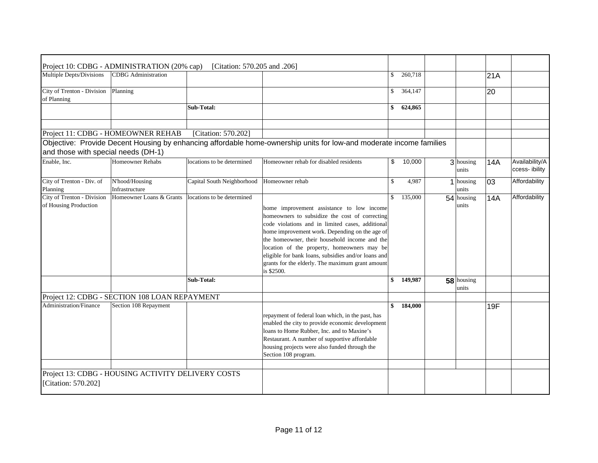|                                                     | Project 10: CDBG - ADMINISTRATION (20% cap)        | [Citation: 570.205 and .206] |                                                                                                                                                                                                                                                                                                                                                                                                                            |               |                      |     |                                  |
|-----------------------------------------------------|----------------------------------------------------|------------------------------|----------------------------------------------------------------------------------------------------------------------------------------------------------------------------------------------------------------------------------------------------------------------------------------------------------------------------------------------------------------------------------------------------------------------------|---------------|----------------------|-----|----------------------------------|
| Multiple Depts/Divisions                            | <b>CDBG</b> Administration                         |                              |                                                                                                                                                                                                                                                                                                                                                                                                                            | \$<br>260,718 |                      | 21A |                                  |
| City of Trenton - Division<br>of Planning           | Planning                                           |                              |                                                                                                                                                                                                                                                                                                                                                                                                                            | \$<br>364,147 |                      | 20  |                                  |
|                                                     |                                                    | Sub-Total:                   |                                                                                                                                                                                                                                                                                                                                                                                                                            | \$<br>624,865 |                      |     |                                  |
|                                                     | Project 11: CDBG - HOMEOWNER REHAB                 | [Citation: 570.202]          |                                                                                                                                                                                                                                                                                                                                                                                                                            |               |                      |     |                                  |
| and those with special needs (DH-1)                 |                                                    |                              | Objective: Provide Decent Housing by enhancing affordable home-ownership units for low-and moderate income families                                                                                                                                                                                                                                                                                                        |               |                      |     |                                  |
| Enable, Inc.                                        | Homeowner Rehabs                                   | locations to be determined   | Homeowner rehab for disabled residents                                                                                                                                                                                                                                                                                                                                                                                     | \$<br>10,000  | 3 housing<br>units   | 14A | Availability/A<br>ccess- ibility |
| City of Trenton - Div. of<br>Planning               | N'hood/Housing<br>Infrastructure                   | Capital South Neighborhood   | Homeowner rehab                                                                                                                                                                                                                                                                                                                                                                                                            | \$<br>4,987   | $1$ housing<br>units | 03  | Affordability                    |
| City of Trenton - Division<br>of Housing Production | Homeowner Loans & Grants                           | locations to be determined   | home improvement assistance to low income<br>homeowners to subsidize the cost of correcting<br>code violations and in limited cases, additional<br>home improvement work. Depending on the age of<br>the homeowner, their household income and the<br>location of the property, homeowners may be<br>eligible for bank loans, subsidies and/or loans and<br>grants for the elderly. The maximum grant amount<br>is \$2500. | \$<br>135,000 | 54 housing<br>units  | 14A | Affordability                    |
|                                                     |                                                    | Sub-Total:                   |                                                                                                                                                                                                                                                                                                                                                                                                                            | \$<br>149,987 | 58 housing<br>units  |     |                                  |
|                                                     | Project 12: CDBG - SECTION 108 LOAN REPAYMENT      |                              |                                                                                                                                                                                                                                                                                                                                                                                                                            |               |                      |     |                                  |
| Administration/Finance                              | Section 108 Repayment                              |                              | repayment of federal loan which, in the past, has<br>enabled the city to provide economic development<br>loans to Home Rubber, Inc. and to Maxine's<br>Restaurant. A number of supportive affordable<br>housing projects were also funded through the<br>Section 108 program.                                                                                                                                              | \$<br>184,000 |                      | 19F |                                  |
|                                                     |                                                    |                              |                                                                                                                                                                                                                                                                                                                                                                                                                            |               |                      |     |                                  |
| [Citation: 570.202]                                 | Project 13: CDBG - HOUSING ACTIVITY DELIVERY COSTS |                              |                                                                                                                                                                                                                                                                                                                                                                                                                            |               |                      |     |                                  |